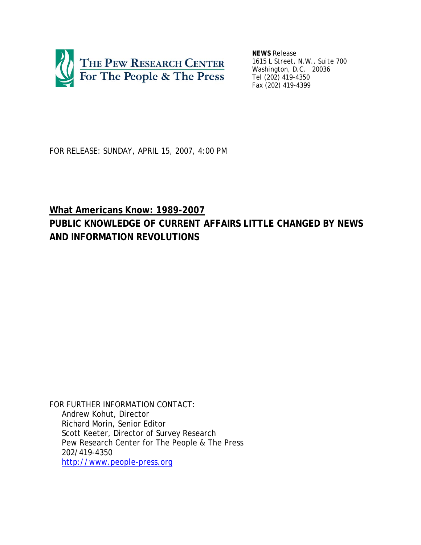

*NEWS Release 1615 L Street, N.W., Suite 700 Washington, D.C. 20036 Tel (202) 419-4350 Fax (202) 419-4399*

FOR RELEASE: SUNDAY, APRIL 15, 2007, 4:00 PM

# **What Americans Know: 1989-2007 PUBLIC KNOWLEDGE OF CURRENT AFFAIRS LITTLE CHANGED BY NEWS AND INFORMATION REVOLUTIONS**

*FOR FURTHER INFORMATION CONTACT*: Andrew Kohut, Director Richard Morin, Senior Editor Scott Keeter, Director of Survey Research Pew Research Center for The People & The Press 202/419-4350 http://www.people-press.org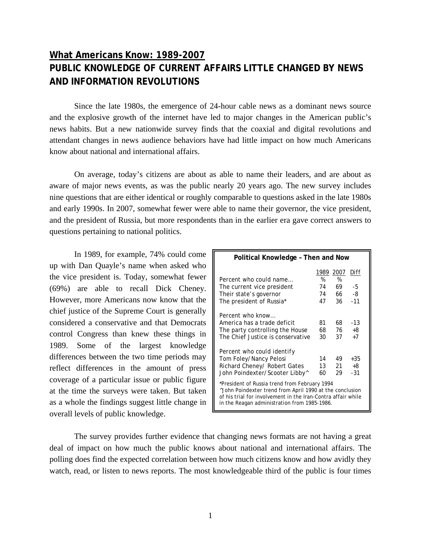# **What Americans Know: 1989-2007 PUBLIC KNOWLEDGE OF CURRENT AFFAIRS LITTLE CHANGED BY NEWS AND INFORMATION REVOLUTIONS**

Since the late 1980s, the emergence of 24-hour cable news as a dominant news source and the explosive growth of the internet have led to major changes in the American public's news habits. But a new nationwide survey finds that the coaxial and digital revolutions and attendant changes in news audience behaviors have had little impact on how much Americans know about national and international affairs.

On average, today's citizens are about as able to name their leaders, and are about as aware of major news events, as was the public nearly 20 years ago. The new survey includes nine questions that are either identical or roughly comparable to questions asked in the late 1980s and early 1990s. In 2007, somewhat fewer were able to name their governor, the vice president, and the president of Russia, but more respondents than in the earlier era gave correct answers to questions pertaining to national politics.

In 1989, for example, 74% could come up with Dan Quayle's name when asked who the vice president is. Today, somewhat fewer (69%) are able to recall Dick Cheney. However, more Americans now know that the chief justice of the Supreme Court is generally considered a conservative and that Democrats control Congress than knew these things in 1989. Some of the largest knowledge differences between the two time periods may reflect differences in the amount of press coverage of a particular issue or public figure at the time the surveys were taken. But taken as a whole the findings suggest little change in overall levels of public knowledge.

| Political Knowledge - Then and Now                                                                                                                                                                                        |      |      |       |  |
|---------------------------------------------------------------------------------------------------------------------------------------------------------------------------------------------------------------------------|------|------|-------|--|
|                                                                                                                                                                                                                           | 1989 | 2007 | Diff  |  |
| Percent who could name                                                                                                                                                                                                    | %    | %    |       |  |
| The current vice president                                                                                                                                                                                                | 74   | 69   | -5    |  |
| Their state's governor                                                                                                                                                                                                    | 74   | 66   | -8    |  |
| The president of Russia*                                                                                                                                                                                                  | 47   | 36   | $-11$ |  |
| Percent who know                                                                                                                                                                                                          |      |      |       |  |
| America has a trade deficit                                                                                                                                                                                               | 81   | 68   | - 13  |  |
| The party controlling the House                                                                                                                                                                                           | 68   | 76   | +8    |  |
| The Chief Justice is conservative                                                                                                                                                                                         | 30   | 37   | $+7$  |  |
| Percent who could identify                                                                                                                                                                                                |      |      |       |  |
| Tom Foley/Nancy Pelosi                                                                                                                                                                                                    | 14   | 49   | $+35$ |  |
| Richard Cheney/ Robert Gates                                                                                                                                                                                              | 13   | 21   | +8    |  |
| John Poindexter/Scooter Libby^                                                                                                                                                                                            | 60   | 29   | $-31$ |  |
| *President of Russia trend from February 1994<br>^John Poindexter trend from April 1990 at the conclusion<br>of his trial for involvement in the Iran-Contra affair while<br>in the Reagan administration from 1985-1986. |      |      |       |  |

The survey provides further evidence that changing news formats are not having a great deal of impact on how much the public knows about national and international affairs. The polling does find the expected correlation between how much citizens know and how avidly they watch, read, or listen to news reports. The most knowledgeable third of the public is four times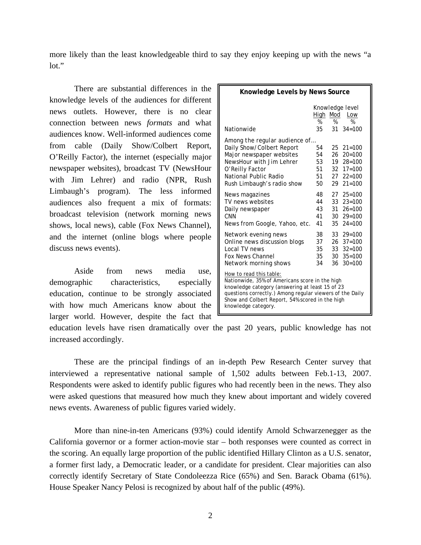more likely than the least knowledgeable third to say they enjoy keeping up with the news "a lot."

There are substantial differences in the knowledge levels of the audiences for different news outlets. However, there is no clear connection between news *formats* and what audiences know. Well-informed audiences come from cable (Daily Show/Colbert Report, O'Reilly Factor), the internet (especially major newspaper websites), broadcast TV (NewsHour with Jim Lehrer) and radio (NPR, Rush Limbaugh's program). The less informed audiences also frequent a mix of formats: broadcast television (network morning news shows, local news), cable (Fox News Channel), and the internet (online blogs where people discuss news events).

Aside from news media use, demographic characteristics, especially education, continue to be strongly associated with how much Americans know about the larger world. However, despite the fact that

| Knowledge Levels by News Source                                                                                                                                                                                                                                    |                                                                                      |  |                                                                                                                                   |  |
|--------------------------------------------------------------------------------------------------------------------------------------------------------------------------------------------------------------------------------------------------------------------|--------------------------------------------------------------------------------------|--|-----------------------------------------------------------------------------------------------------------------------------------|--|
| Nationwide                                                                                                                                                                                                                                                         | Knowledge level<br>High<br>Mod<br>Low<br>%<br>%<br>$\%$<br>$31 \quad 34 = 100$<br>35 |  |                                                                                                                                   |  |
| Among the regular audience of<br>Daily Show/Colbert Report<br>Major newspaper websites<br>NewsHour with Jim Lehrer<br>O'Reilly Factor<br>National Public Radio<br>Rush Limbaugh's radio show                                                                       | 54<br>54<br>53<br>51<br>51<br>50                                                     |  | $25 \quad 21 = 100$<br>$26 \quad 20 = 100$<br>$19 \t 28=100$<br>$32 \quad 17 = 100$<br>$27 \quad 22 = 100$<br>$29 \quad 21 = 100$ |  |
| News magazines<br>TV news websites<br>Daily newspaper<br>C <sub>NN</sub><br>News from Google, Yahoo, etc.                                                                                                                                                          | 48<br>44<br>43<br>41<br>41                                                           |  | $27 \quad 25 = 100$<br>$33 \quad 23 = 100$<br>$31 \quad 26 = 100$<br>$30 \quad 29 = 100$<br>$35 \quad 24 = 100$                   |  |
| Network evening news<br>Online news discussion blogs<br>Local TV news<br><b>Fox News Channel</b><br>Network morning shows                                                                                                                                          | 38<br>37<br>35<br>35<br>34                                                           |  | $33 \quad 29 = 100$<br>$26 \quad 37 = 100$<br>$33 \quad 32 = 100$<br>$30 \quad 35 = 100$<br>$36 \quad 30 = 100$                   |  |
| How to read this table:<br>Nationwide, 35% of Americans score in the high<br>knowledge category (answering at least 15 of 23<br>questions correctly.) Among regular viewers of the Daily<br>Show and Colbert Report, 54% scored in the high<br>knowledge category. |                                                                                      |  |                                                                                                                                   |  |

education levels have risen dramatically over the past 20 years, public knowledge has not increased accordingly.

These are the principal findings of an in-depth Pew Research Center survey that interviewed a representative national sample of 1,502 adults between Feb.1-13, 2007. Respondents were asked to identify public figures who had recently been in the news. They also were asked questions that measured how much they knew about important and widely covered news events. Awareness of public figures varied widely.

More than nine-in-ten Americans (93%) could identify Arnold Schwarzenegger as the California governor or a former action-movie star – both responses were counted as correct in the scoring. An equally large proportion of the public identified Hillary Clinton as a U.S. senator, a former first lady, a Democratic leader, or a candidate for president. Clear majorities can also correctly identify Secretary of State Condoleezza Rice (65%) and Sen. Barack Obama (61%). House Speaker Nancy Pelosi is recognized by about half of the public (49%).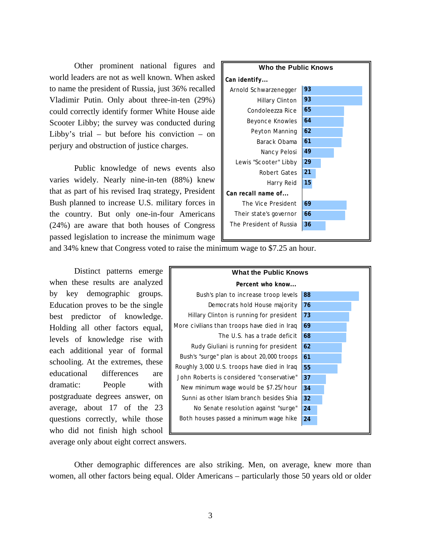Other prominent national figures and world leaders are not as well known. When asked to name the president of Russia, just 36% recalled Vladimir Putin. Only about three-in-ten (29%) could correctly identify former White House aide Scooter Libby; the survey was conducted during Libby's trial – but before his conviction – on perjury and obstruction of justice charges.

Public knowledge of news events also varies widely. Nearly nine-in-ten (88%) knew that as part of his revised Iraq strategy, President Bush planned to increase U.S. military forces in the country. But only one-in-four Americans (24%) are aware that both houses of Congress passed legislation to increase the minimum wage



and 34% knew that Congress voted to raise the minimum wage to \$7.25 an hour.

Distinct patterns emerge when these results are analyzed by key demographic groups. Education proves to be the single best predictor of knowledge. Holding all other factors equal, levels of knowledge rise with each additional year of formal schooling. At the extremes, these educational differences are dramatic: People with postgraduate degrees answer, on average, about 17 of the 23 questions correctly, while those who did not finish high school



average only about eight correct answers.

Other demographic differences are also striking. Men, on average, knew more than women, all other factors being equal. Older Americans – particularly those 50 years old or older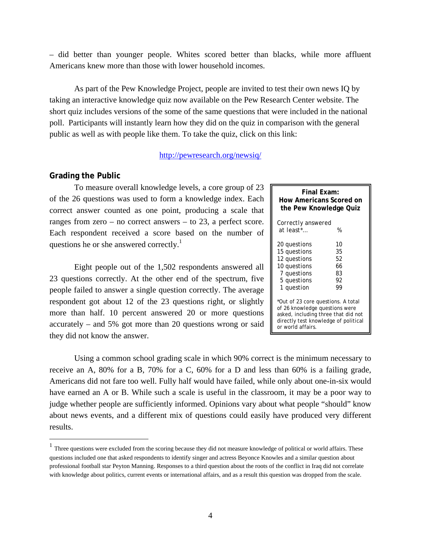– did better than younger people. Whites scored better than blacks, while more affluent Americans knew more than those with lower household incomes.

As part of the Pew Knowledge Project, people are invited to test their own news IQ by taking an interactive knowledge quiz now available on the Pew Research Center website. The short quiz includes versions of the some of the same questions that were included in the national poll. Participants will instantly learn how they did on the quiz in comparison with the general public as well as with people like them. To take the quiz, click on this link:

# http://pewresearch.org/newsiq/

# **Grading the Public**

 $\overline{a}$ 

To measure overall knowledge levels, a core group of 23 of the 26 questions was used to form a knowledge index. Each correct answer counted as one point, producing a scale that ranges from zero – no correct answers – to 23, a perfect score. Each respondent received a score based on the number of questions he or she answered correctly.<sup>1</sup>

Eight people out of the 1,502 respondents answered all 23 questions correctly. At the other end of the spectrum, five people failed to answer a single question correctly. The average respondent got about 12 of the 23 questions right, or slightly more than half. 10 percent answered 20 or more questions accurately – and 5% got more than 20 questions wrong or said they did not know the answer.

| Final Exam:<br>How Americans Scored on<br>the Pew Knowledge Quiz |    |  |  |  |
|------------------------------------------------------------------|----|--|--|--|
| Correctly answered                                               |    |  |  |  |
| at least* $\mathbb{R}$                                           | %  |  |  |  |
| 20 questions                                                     | 10 |  |  |  |
| 15 questions                                                     | 35 |  |  |  |
| 12 questions                                                     | 52 |  |  |  |
| 10 questions                                                     | 66 |  |  |  |
| 7 questions                                                      | 83 |  |  |  |
| 5 questions                                                      | 92 |  |  |  |
| 1 question                                                       | 99 |  |  |  |
| *Out of 23 core questions. A total                               |    |  |  |  |
| of 26 knowledge questions were                                   |    |  |  |  |
| asked, including three that did not                              |    |  |  |  |
| directly test knowledge of political                             |    |  |  |  |
| or world affairs.                                                |    |  |  |  |

Using a common school grading scale in which 90% correct is the minimum necessary to receive an A, 80% for a B, 70% for a C, 60% for a D and less than 60% is a failing grade, Americans did not fare too well. Fully half would have failed, while only about one-in-six would have earned an A or B. While such a scale is useful in the classroom, it may be a poor way to judge whether people are sufficiently informed. Opinions vary about what people "should" know about news events, and a different mix of questions could easily have produced very different results.

 $<sup>1</sup>$  Three questions were excluded from the scoring because they did not measure knowledge of political or world affairs. These</sup> questions included one that asked respondents to identify singer and actress Beyonce Knowles and a similar question about professional football star Peyton Manning. Responses to a third question about the roots of the conflict in Iraq did not correlate with knowledge about politics, current events or international affairs, and as a result this question was dropped from the scale.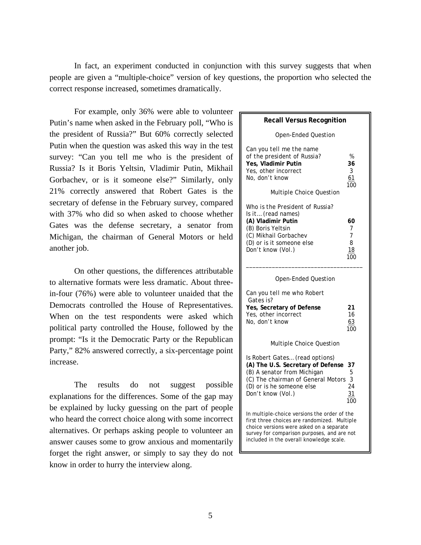In fact, an experiment conducted in conjunction with this survey suggests that when people are given a "multiple-choice" version of key questions, the proportion who selected the correct response increased, sometimes dramatically.

For example, only 36% were able to volunteer Putin's name when asked in the February poll, "Who is the president of Russia?" But 60% correctly selected Putin when the question was asked this way in the test survey: "Can you tell me who is the president of Russia? Is it Boris Yeltsin, Vladimir Putin, Mikhail Gorbachev, or is it someone else?" Similarly, only 21% correctly answered that Robert Gates is the secretary of defense in the February survey, compared with 37% who did so when asked to choose whether Gates was the defense secretary, a senator from Michigan, the chairman of General Motors or held another job.

On other questions, the differences attributable to alternative formats were less dramatic. About threein-four (76%) were able to volunteer unaided that the Democrats controlled the House of Representatives. When on the test respondents were asked which political party controlled the House, followed by the prompt: "Is it the Democratic Party or the Republican Party," 82% answered correctly, a six-percentage point increase.

The results do not suggest possible explanations for the differences. Some of the gap may be explained by lucky guessing on the part of people who heard the correct choice along with some incorrect alternatives. Or perhaps asking people to volunteer an answer causes some to grow anxious and momentarily forget the right answer, or simply to say they do not know in order to hurry the interview along.

| <b>Recall Versus Recognition</b>                                                                                                                                                                                                    |                                 |
|-------------------------------------------------------------------------------------------------------------------------------------------------------------------------------------------------------------------------------------|---------------------------------|
| Open-Ended Question                                                                                                                                                                                                                 |                                 |
| Can you tell me the name<br>of the president of Russia?<br>Yes, Vladimir Putin<br>Yes, other incorrect<br>No, don't know<br><b>Multiple Choice Question</b>                                                                         | $\%$<br>36<br>3<br>61<br>100    |
| Who is the President of Russia?<br>Is it (read names)<br>(A) Vladimir Putin<br>(B) Boris Yeltsin<br>(C) Mikhail Gorbachev<br>(D) or is it someone else<br>Don't know (Vol.)                                                         | 60<br>7<br>7<br>8<br>18<br>100  |
| Open-Ended Question                                                                                                                                                                                                                 |                                 |
| Can you tell me who Robert<br>Gates is?<br>Yes, Secretary of Defense<br>Yes, other incorrect<br>No, don't know                                                                                                                      | 21<br>16<br>63<br>100           |
| Multiple Choice Question                                                                                                                                                                                                            |                                 |
| Is Robert Gates (read options)<br>(A) The U.S. Secretary of Defense<br>(B) A senator from Michigan<br>(C) The chairman of General Motors<br>(D) or is he someone else<br>Don't know (Vol.)                                          | 37<br>5<br>3<br>24<br>31<br>100 |
| In multiple-choice versions the order of the<br>first three choices are randomized. Multiple<br>choice versions were asked on a separate<br>survey for comparison purposes, and are not<br>included in the overall knowledge scale. |                                 |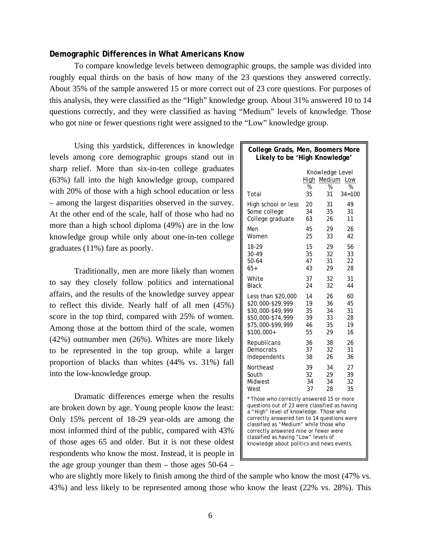# **Demographic Differences in What Americans Know**

To compare knowledge levels between demographic groups, the sample was divided into roughly equal thirds on the basis of how many of the 23 questions they answered correctly. About 35% of the sample answered 15 or more correct out of 23 core questions. For purposes of this analysis, they were classified as the "High" knowledge group. About 31% answered 10 to 14 questions correctly, and they were classified as having "Medium" levels of knowledge. Those who got nine or fewer questions right were assigned to the "Low" knowledge group.

Using this yardstick, differences in knowledge levels among core demographic groups stand out in sharp relief. More than six-in-ten college graduates (63%) fall into the high knowledge group, compared with 20% of those with a high school education or less – among the largest disparities observed in the survey. At the other end of the scale, half of those who had no more than a high school diploma (49%) are in the low knowledge group while only about one-in-ten college graduates (11%) fare as poorly.

Traditionally, men are more likely than women to say they closely follow politics and international affairs, and the results of the knowledge survey appear to reflect this divide. Nearly half of all men (45%) score in the top third, compared with 25% of women. Among those at the bottom third of the scale, women (42%) outnumber men (26%). Whites are more likely to be represented in the top group, while a larger proportion of blacks than whites (44% vs. 31%) fall into the low-knowledge group.

Dramatic differences emerge when the results are broken down by age. Young people know the least: Only 15% percent of 18-29 year-olds are among the most informed third of the public, compared with 43% of those ages 65 and older. But it is not these oldest respondents who know the most. Instead, it is people in the age group younger than them – those ages  $50-64$  –

| College Grads, Men, Boomers More<br>Likely to be 'High Knowledge'                                                                                                                                                                                                                                                                                           |           |                                |            |  |
|-------------------------------------------------------------------------------------------------------------------------------------------------------------------------------------------------------------------------------------------------------------------------------------------------------------------------------------------------------------|-----------|--------------------------------|------------|--|
|                                                                                                                                                                                                                                                                                                                                                             | High<br>% | Knowledge Level<br>Medium<br>% | Low<br>%   |  |
| Total                                                                                                                                                                                                                                                                                                                                                       | 35        | 31                             | $34 = 100$ |  |
| High school or less                                                                                                                                                                                                                                                                                                                                         | 20        | 31                             | 49         |  |
| Some college                                                                                                                                                                                                                                                                                                                                                | 34        | 35                             | 31         |  |
| College graduate                                                                                                                                                                                                                                                                                                                                            | 63        | 26                             | 11         |  |
| Men                                                                                                                                                                                                                                                                                                                                                         | 45        | 29                             | 26         |  |
| Women                                                                                                                                                                                                                                                                                                                                                       | 25        | 33                             | 42         |  |
| 18-29                                                                                                                                                                                                                                                                                                                                                       | 15        | 29                             | 56         |  |
| 30-49                                                                                                                                                                                                                                                                                                                                                       | 35        | 32                             | 33         |  |
| $50 - 64$                                                                                                                                                                                                                                                                                                                                                   | 47        | 31                             | 22         |  |
| $65+$                                                                                                                                                                                                                                                                                                                                                       | 43        | 29                             | 28         |  |
| White                                                                                                                                                                                                                                                                                                                                                       | 37        | 32                             | 31         |  |
| Black                                                                                                                                                                                                                                                                                                                                                       | 24        | 32                             | 44         |  |
| Less than \$20,000                                                                                                                                                                                                                                                                                                                                          | 14        | 26                             | 60         |  |
| \$20,000-\$29,999                                                                                                                                                                                                                                                                                                                                           | 19        | 36                             | 45         |  |
| \$30,000-\$49,999                                                                                                                                                                                                                                                                                                                                           | 35        | 34                             | 31         |  |
| \$50,000-\$74,999                                                                                                                                                                                                                                                                                                                                           | 39        | 33                             | 28         |  |
| \$75,000-\$99,999                                                                                                                                                                                                                                                                                                                                           | 46        | 35                             | 19         |  |
| \$100,000+                                                                                                                                                                                                                                                                                                                                                  | 55        | 29                             | 16         |  |
| Republicans                                                                                                                                                                                                                                                                                                                                                 | 36        | 38                             | 26         |  |
| Democrats                                                                                                                                                                                                                                                                                                                                                   | 37        | 32                             | 31         |  |
| Independents                                                                                                                                                                                                                                                                                                                                                | 38        | 26                             | 36         |  |
| Northeast                                                                                                                                                                                                                                                                                                                                                   | 39        | 34                             | 27         |  |
| South                                                                                                                                                                                                                                                                                                                                                       | 32        | 29                             | 39         |  |
| Midwest                                                                                                                                                                                                                                                                                                                                                     | 34        | 34                             | 32         |  |
| West                                                                                                                                                                                                                                                                                                                                                        | 37        | 28                             | 35         |  |
| * Those who correctly answered 15 or more<br>questions out of 23 were classified as having<br>a "High" level of knowledge. Those who<br>correctly answered ten to 14 questions were<br>classified as "Medium" while those who<br>correctly answered nine or fewer were<br>classified as having "Low" levels of<br>knowledge about politics and news events. |           |                                |            |  |

who are slightly more likely to finish among the third of the sample who know the most (47% vs. 43%) and less likely to be represented among those who know the least (22% vs. 28%). This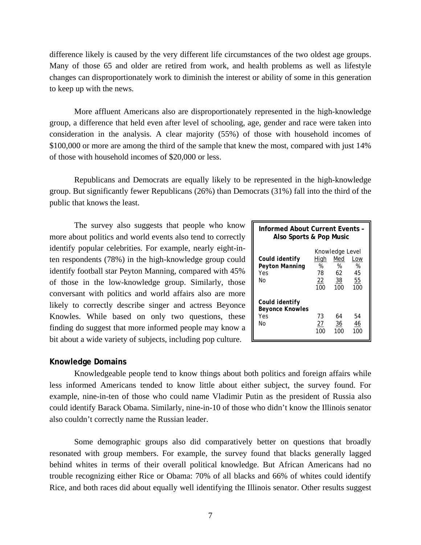difference likely is caused by the very different life circumstances of the two oldest age groups. Many of those 65 and older are retired from work, and health problems as well as lifestyle changes can disproportionately work to diminish the interest or ability of some in this generation to keep up with the news.

More affluent Americans also are disproportionately represented in the high-knowledge group, a difference that held even after level of schooling, age, gender and race were taken into consideration in the analysis. A clear majority (55%) of those with household incomes of \$100,000 or more are among the third of the sample that knew the most, compared with just 14% of those with household incomes of \$20,000 or less.

Republicans and Democrats are equally likely to be represented in the high-knowledge group. But significantly fewer Republicans (26%) than Democrats (31%) fall into the third of the public that knows the least.

The survey also suggests that people who know more about politics and world events also tend to correctly identify popular celebrities. For example, nearly eight-inten respondents (78%) in the high-knowledge group could identify football star Peyton Manning, compared with 45% of those in the low-knowledge group. Similarly, those conversant with politics and world affairs also are more likely to correctly describe singer and actress Beyonce Knowles. While based on only two questions, these finding do suggest that more informed people may know a bit about a wide variety of subjects, including pop culture.

| Informed About Current Events -<br>Also Sports & Pop Music |                              |                                                |                             |  |
|------------------------------------------------------------|------------------------------|------------------------------------------------|-----------------------------|--|
| Could identify<br>Peyton Manning<br>Yes<br>N٥              | High<br>%<br>78<br>22<br>100 | Knowledge Level<br>Med<br>%<br>62<br>38<br>100 | Low<br>%<br>45<br>55<br>100 |  |
| Could identify<br><b>Beyonce Knowles</b><br>Yes<br>N٥      | 73<br>27<br>100              | 64<br>36<br>100                                | 54<br>46<br>100             |  |

#### **Knowledge Domains**

Knowledgeable people tend to know things about both politics and foreign affairs while less informed Americans tended to know little about either subject, the survey found. For example, nine-in-ten of those who could name Vladimir Putin as the president of Russia also could identify Barack Obama. Similarly, nine-in-10 of those who didn't know the Illinois senator also couldn't correctly name the Russian leader.

Some demographic groups also did comparatively better on questions that broadly resonated with group members. For example, the survey found that blacks generally lagged behind whites in terms of their overall political knowledge. But African Americans had no trouble recognizing either Rice or Obama: 70% of all blacks and 66% of whites could identify Rice, and both races did about equally well identifying the Illinois senator. Other results suggest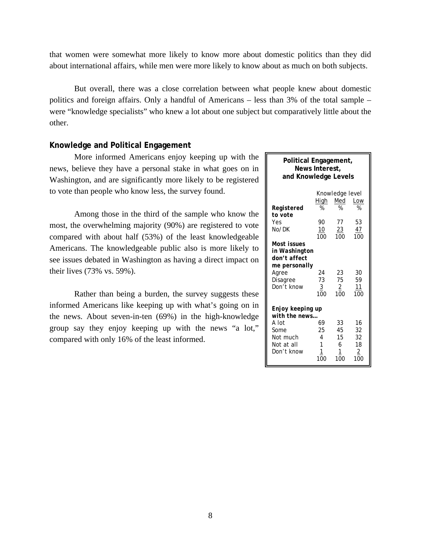that women were somewhat more likely to know more about domestic politics than they did about international affairs, while men were more likely to know about as much on both subjects.

But overall, there was a close correlation between what people knew about domestic politics and foreign affairs. Only a handful of Americans – less than 3% of the total sample – were "knowledge specialists" who knew a lot about one subject but comparatively little about the other.

# **Knowledge and Political Engagement**

More informed Americans enjoy keeping up with the news, believe they have a personal stake in what goes on in Washington, and are significantly more likely to be registered to vote than people who know less, the survey found.

Among those in the third of the sample who know the most, the overwhelming majority (90%) are registered to vote compared with about half (53%) of the least knowledgeable Americans. The knowledgeable public also is more likely to see issues debated in Washington as having a direct impact on their lives (73% vs. 59%).

Rather than being a burden, the survey suggests these informed Americans like keeping up with what's going on in the news. About seven-in-ten (69%) in the high-knowledge group say they enjoy keeping up with the news "a lot," compared with only 16% of the least informed.

| Political Engagement,<br>News Interest,<br>and Knowledge Levels |             |                  |           |  |  |  |
|-----------------------------------------------------------------|-------------|------------------|-----------|--|--|--|
|                                                                 |             | Knowledge level  |           |  |  |  |
|                                                                 | <u>High</u> | Med              | Low       |  |  |  |
| Registered                                                      | %           | %                | %         |  |  |  |
| to vote                                                         |             |                  |           |  |  |  |
| Yes                                                             | 90          | 77               | 53        |  |  |  |
| No/DK                                                           | 10<br>100   | <u>23</u><br>100 | 47<br>100 |  |  |  |
| Most issues                                                     |             |                  |           |  |  |  |
| in Washington                                                   |             |                  |           |  |  |  |
| don't affect                                                    |             |                  |           |  |  |  |
| me personally                                                   |             |                  |           |  |  |  |
| Agree                                                           | 24          | 23               | 30        |  |  |  |
| Disagree                                                        | 73          | 75               | 59        |  |  |  |
| Don't know                                                      | 3           | $\overline{2}$   | 11        |  |  |  |
|                                                                 | 100         | 100              | 100       |  |  |  |
| Enjoy keeping up                                                |             |                  |           |  |  |  |
| with the news                                                   |             |                  |           |  |  |  |
| A Int                                                           | 69          | 33               | 16        |  |  |  |
| Some                                                            | 25          | 45               | 32        |  |  |  |
| Not much                                                        | 4           | 15               | 32        |  |  |  |
| Not at all                                                      | 1           | 6                | 18        |  |  |  |
| Don't know                                                      |             | 1                | 2         |  |  |  |
|                                                                 | 100         | 100              | 100       |  |  |  |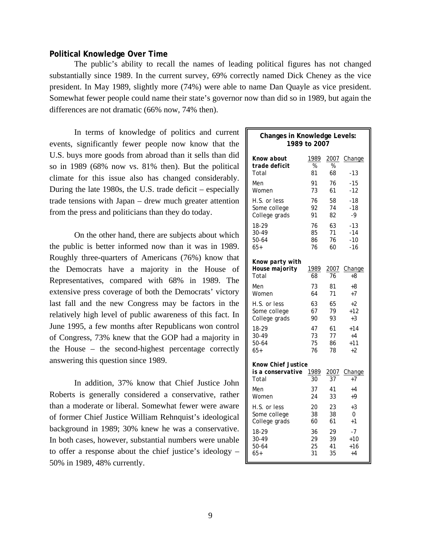# **Political Knowledge Over Time**

The public's ability to recall the names of leading political figures has not changed substantially since 1989. In the current survey, 69% correctly named Dick Cheney as the vice president. In May 1989, slightly more (74%) were able to name Dan Quayle as vice president. Somewhat fewer people could name their state's governor now than did so in 1989, but again the differences are not dramatic (66% now, 74% then).

In terms of knowledge of politics and current events, significantly fewer people now know that the U.S. buys more goods from abroad than it sells than did so in 1989 (68% now vs. 81% then). But the political climate for this issue also has changed considerably. During the late 1980s, the U.S. trade deficit – especially trade tensions with Japan – drew much greater attention from the press and politicians than they do today.

On the other hand, there are subjects about which the public is better informed now than it was in 1989. Roughly three-quarters of Americans (76%) know that the Democrats have a majority in the House of Representatives, compared with 68% in 1989. The extensive press coverage of both the Democrats' victory last fall and the new Congress may be factors in the relatively high level of public awareness of this fact. In June 1995, a few months after Republicans won control of Congress, 73% knew that the GOP had a majority in the House – the second-highest percentage correctly answering this question since 1989.

In addition, 37% know that Chief Justice John Roberts is generally considered a conservative, rather than a moderate or liberal. Somewhat fewer were aware of former Chief Justice William Rehnquist's ideological background in 1989; 30% knew he was a conservative. In both cases, however, substantial numbers were unable to offer a response about the chief justice's ideology – 50% in 1989, 48% currently.

| Changes in Knowledge Levels:<br>1989 to 2007 |            |            |              |  |
|----------------------------------------------|------------|------------|--------------|--|
| Know about                                   | 1989       | 2007       | Change       |  |
| trade deficit                                | %          | %          |              |  |
| Total                                        | 81         | 68         | -13          |  |
| Men                                          | 91         | 76         | $-15$        |  |
| Women                                        | 73         | 61         | $-12$        |  |
| H.S. or less                                 | 76         | 58         | $-18$        |  |
| Some college                                 | 92         | 74         | -18          |  |
| College grads                                | 91         | 82         | $-9$         |  |
| 18-29                                        | 76         | 63         | $-13$        |  |
| 30-49                                        | 85         | 71         | $-14$        |  |
| 50-64                                        | 86         | 76         | $-10$        |  |
| $65+$                                        | 76         | 60         | -16          |  |
| Know party with<br>House majority<br>Total   | 1989<br>68 | 2007<br>76 | Change<br>+8 |  |
| Men                                          | 73         | 81         | +8           |  |
| Women                                        | 64         | 71         | $+7$         |  |
| H.S. or less                                 | 63         | 65         | +2           |  |
| Some college                                 | 67         | 79         | +12          |  |
| College grads                                | 90         | 93         | $+3$         |  |
| 18-29                                        | 47         | 61         | $+14$        |  |
| 30-49                                        | 73         | 77         | $+4$         |  |
| 50-64                                        | 75         | 86         | $+11$        |  |
| $65+$                                        | 76         | 78         | $+2$         |  |
| <b>Know Chief Justice</b>                    |            |            |              |  |
| is a conservative                            | 1989       | 2007       | Change       |  |
| Total                                        | 30         | 37         | +7           |  |
| Men                                          | 37         | 41         | $+4$         |  |
| Women                                        | 24         | 33         | $+9$         |  |
| H.S. or less                                 | 20         | 23         | $+3$         |  |
| Some college                                 | 38         | 38         | 0            |  |
| College grads                                | 60         | 61         | $+1$         |  |
| 18-29                                        | 36         | 29         | $-7$         |  |
| 30-49                                        | 29         | 39         | +10          |  |
| 50-64                                        | 25         | 41         | +16          |  |
| $65+$                                        | 31         | 35         | $+4$         |  |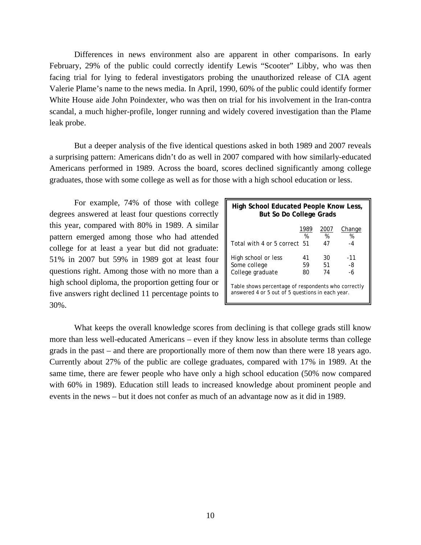Differences in news environment also are apparent in other comparisons. In early February, 29% of the public could correctly identify Lewis "Scooter" Libby, who was then facing trial for lying to federal investigators probing the unauthorized release of CIA agent Valerie Plame's name to the news media. In April, 1990, 60% of the public could identify former White House aide John Poindexter, who was then on trial for his involvement in the Iran-contra scandal, a much higher-profile, longer running and widely covered investigation than the Plame leak probe.

But a deeper analysis of the five identical questions asked in both 1989 and 2007 reveals a surprising pattern: Americans didn't do as well in 2007 compared with how similarly-educated Americans performed in 1989. Across the board, scores declined significantly among college graduates, those with some college as well as for those with a high school education or less.

For example, 74% of those with college degrees answered at least four questions correctly this year, compared with 80% in 1989. A similar pattern emerged among those who had attended college for at least a year but did not graduate: 51% in 2007 but 59% in 1989 got at least four questions right. Among those with no more than a high school diploma, the proportion getting four or five answers right declined 11 percentage points to 30%.

| High School Educated People Know Less,<br><b>But So Do College Grads</b>                                |           |           |             |  |
|---------------------------------------------------------------------------------------------------------|-----------|-----------|-------------|--|
|                                                                                                         | 1989<br>% | 2007<br>% | Change<br>% |  |
| Total with 4 or 5 correct 51                                                                            |           | 47        | -4          |  |
| High school or less<br>Some college                                                                     | 41<br>59  | 30<br>51  | -11<br>-8   |  |
| College graduate                                                                                        | 80        | 74        | -6          |  |
| Table shows percentage of respondents who correctly<br>answered 4 or 5 out of 5 questions in each year. |           |           |             |  |

What keeps the overall knowledge scores from declining is that college grads still know more than less well-educated Americans – even if they know less in absolute terms than college grads in the past – and there are proportionally more of them now than there were 18 years ago. Currently about 27% of the public are college graduates, compared with 17% in 1989. At the same time, there are fewer people who have only a high school education (50% now compared with 60% in 1989). Education still leads to increased knowledge about prominent people and events in the news – but it does not confer as much of an advantage now as it did in 1989.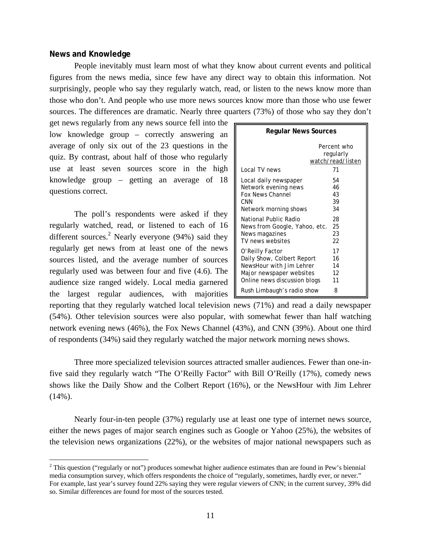# **News and Knowledge**

 $\overline{a}$ 

People inevitably must learn most of what they know about current events and political figures from the news media, since few have any direct way to obtain this information. Not surprisingly, people who say they regularly watch, read, or listen to the news know more than those who don't. And people who use more news sources know more than those who use fewer sources. The differences are dramatic. Nearly three quarters (73%) of those who say they don't

get news regularly from any news source fell into the low knowledge group – correctly answering an average of only six out of the 23 questions in the quiz. By contrast, about half of those who regularly use at least seven sources score in the high knowledge group – getting an average of 18 questions correct.

The poll's respondents were asked if they regularly watched, read, or listened to each of 16 different sources.<sup>2</sup> Nearly everyone (94%) said they regularly get news from at least one of the news sources listed, and the average number of sources regularly used was between four and five (4.6). The audience size ranged widely. Local media garnered the largest regular audiences, with majorities

| <b>Regular News Sources</b>   |                                                     |  |  |  |
|-------------------------------|-----------------------------------------------------|--|--|--|
| Local TV news                 | Percent who<br>regularly<br>watch/read/listen<br>71 |  |  |  |
| Local daily newspaper         | 54                                                  |  |  |  |
| Network evening news          | 46                                                  |  |  |  |
| <b>Fox News Channel</b>       | 43                                                  |  |  |  |
| CNN                           | 39                                                  |  |  |  |
| Network morning shows         | 34                                                  |  |  |  |
| National Public Radio         | 28                                                  |  |  |  |
| News from Google, Yahoo, etc. | 25                                                  |  |  |  |
| News magazines                | 23                                                  |  |  |  |
| TV news websites              | 22                                                  |  |  |  |
| O'Reilly Factor               | 17                                                  |  |  |  |
| Daily Show, Colbert Report    | 16                                                  |  |  |  |
| NewsHour with Jim Lehrer      | 14                                                  |  |  |  |
| Major newspaper websites      | 12                                                  |  |  |  |
| Online news discussion blogs  | 11                                                  |  |  |  |
| Rush Limbaugh's radio show    | 8                                                   |  |  |  |

reporting that they regularly watched local television news (71%) and read a daily newspaper (54%). Other television sources were also popular, with somewhat fewer than half watching network evening news (46%), the Fox News Channel (43%), and CNN (39%). About one third of respondents (34%) said they regularly watched the major network morning news shows.

Three more specialized television sources attracted smaller audiences. Fewer than one-infive said they regularly watch "The O'Reilly Factor" with Bill O'Reilly (17%), comedy news shows like the Daily Show and the Colbert Report (16%), or the NewsHour with Jim Lehrer  $(14\%)$ .

Nearly four-in-ten people (37%) regularly use at least one type of internet news source, either the news pages of major search engines such as Google or Yahoo (25%), the websites of the television news organizations (22%), or the websites of major national newspapers such as

<sup>&</sup>lt;sup>2</sup> This question ("regularly or not") produces somewhat higher audience estimates than are found in Pew's biennial media consumption survey, which offers respondents the choice of "regularly, sometimes, hardly ever, or never." For example, last year's survey found 22% saying they were regular viewers of CNN; in the current survey, 39% did so. Similar differences are found for most of the sources tested.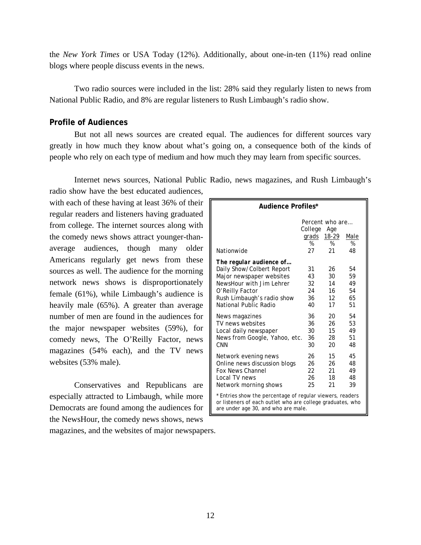the *New York Times* or USA Today (12%). Additionally, about one-in-ten (11%) read online blogs where people discuss events in the news.

Two radio sources were included in the list: 28% said they regularly listen to news from National Public Radio, and 8% are regular listeners to Rush Limbaugh's radio show.

# **Profile of Audiences**

But not all news sources are created equal. The audiences for different sources vary greatly in how much they know about what's going on, a consequence both of the kinds of people who rely on each type of medium and how much they may learn from specific sources.

Internet news sources, National Public Radio, news magazines, and Rush Limbaugh's

radio show have the best educated audiences, with each of these having at least 36% of their regular readers and listeners having graduated from college. The internet sources along with the comedy news shows attract younger-thanaverage audiences, though many older Americans regularly get news from these sources as well. The audience for the morning network news shows is disproportionately female (61%), while Limbaugh's audience is heavily male (65%). A greater than average number of men are found in the audiences for the major newspaper websites (59%), for comedy news, The O'Reilly Factor, news magazines (54% each), and the TV news websites (53% male).

Conservatives and Republicans are especially attracted to Limbaugh, while more Democrats are found among the audiences for the NewsHour, the comedy news shows, news magazines, and the websites of major newspapers.

| Audience Profiles*                                                                                                                                             |                                                                            |                 |    |  |
|----------------------------------------------------------------------------------------------------------------------------------------------------------------|----------------------------------------------------------------------------|-----------------|----|--|
| Nationwide                                                                                                                                                     | Percent who are<br>College<br>Age<br>grads<br>18-29<br>Male<br>%<br>%<br>% |                 |    |  |
| The regular audience of                                                                                                                                        | 27                                                                         | 21              | 48 |  |
| Daily Show/Colbert Report                                                                                                                                      | 31                                                                         | 26              | 54 |  |
| Major newspaper websites                                                                                                                                       | 43                                                                         | 30              | 59 |  |
| NewsHour with Jim Lehrer                                                                                                                                       | 32                                                                         | 14              | 49 |  |
| O'Reilly Factor                                                                                                                                                | 24                                                                         | 16              | 54 |  |
| Rush Limbaugh's radio show                                                                                                                                     | 36                                                                         | 12 <sup>2</sup> | 65 |  |
| National Public Radio                                                                                                                                          | 40                                                                         | 17              | 51 |  |
| News magazines                                                                                                                                                 | 36                                                                         | 20              | 54 |  |
| TV news websites                                                                                                                                               | 36                                                                         | 26              | 53 |  |
| Local daily newspaper                                                                                                                                          | 30                                                                         | 15              | 49 |  |
| News from Google, Yahoo, etc.                                                                                                                                  | 36                                                                         | 28              | 51 |  |
| CNN                                                                                                                                                            | 30                                                                         | 20              | 48 |  |
| Network evening news                                                                                                                                           | 26                                                                         | 15              | 45 |  |
| Online news discussion blogs                                                                                                                                   | 26                                                                         | 26              | 48 |  |
| <b>Fox News Channel</b>                                                                                                                                        | 22                                                                         | 21              | 49 |  |
| Local TV news                                                                                                                                                  | 26                                                                         | 18              | 48 |  |
| Network morning shows                                                                                                                                          | 25                                                                         | 21              | 39 |  |
| * Entries show the percentage of regular viewers, readers<br>or listeners of each outlet who are college graduates, who<br>are under age 30, and who are male. |                                                                            |                 |    |  |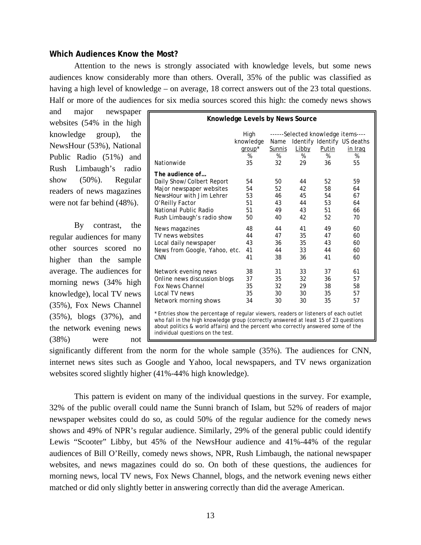# **Which Audiences Know the Most?**

Attention to the news is strongly associated with knowledge levels, but some news audiences know considerably more than others. Overall, 35% of the public was classified as having a high level of knowledge – on average, 18 correct answers out of the 23 total questions. Half or more of the audiences for six media sources scored this high: the comedy news shows

and major newspaper websites (54% in the high knowledge group), the NewsHour (53%), National Public Radio (51%) and Rush Limbaugh's radio show (50%). Regular readers of news magazines were not far behind (48%).

By contrast, the regular audiences for many other sources scored no higher than the sample average. The audiences for morning news (34% high knowledge), local TV news (35%), Fox News Channel (35%), blogs (37%), and the network evening news (38%) were not

| Knowledge Levels by News Source                                                                                                                                                                                                                                                                          |                   |                                                                           |       |       |         |
|----------------------------------------------------------------------------------------------------------------------------------------------------------------------------------------------------------------------------------------------------------------------------------------------------------|-------------------|---------------------------------------------------------------------------|-------|-------|---------|
|                                                                                                                                                                                                                                                                                                          | High<br>knowledge | ------Selected knowledge items----<br>Identify Identify US deaths<br>Name |       |       |         |
|                                                                                                                                                                                                                                                                                                          | group*            | Sunnis                                                                    | Libby | Putin | in Iraq |
|                                                                                                                                                                                                                                                                                                          | %                 | %                                                                         | %     | %     | %       |
| Nationwide                                                                                                                                                                                                                                                                                               | 35                | 32                                                                        | 29    | 36    | 55      |
| The audience of                                                                                                                                                                                                                                                                                          |                   |                                                                           |       |       |         |
| Daily Show/Colbert Report                                                                                                                                                                                                                                                                                | 54                | 50                                                                        | 44    | 52    | 59      |
| Major newspaper websites                                                                                                                                                                                                                                                                                 | 54                | 52                                                                        | 42    | 58    | 64      |
| NewsHour with Jim Lehrer                                                                                                                                                                                                                                                                                 | 53                | 46                                                                        | 45    | 54    | 67      |
| O'Reilly Factor                                                                                                                                                                                                                                                                                          | 51                | 43                                                                        | 44    | 53    | 64      |
| National Public Radio                                                                                                                                                                                                                                                                                    | 51                | 49                                                                        | 43    | 51    | 66      |
| Rush Limbaugh's radio show                                                                                                                                                                                                                                                                               | 50                | 40                                                                        | 42    | 52    | 70      |
| News magazines                                                                                                                                                                                                                                                                                           | 48                | 44                                                                        | 41    | 49    | 60      |
| TV news websites                                                                                                                                                                                                                                                                                         | 44                | 47                                                                        | 35    | 47    | 60      |
| Local daily newspaper                                                                                                                                                                                                                                                                                    | 43                | 36                                                                        | 35    | 43    | 60      |
| News from Google, Yahoo, etc.                                                                                                                                                                                                                                                                            | 41                | 44                                                                        | 33    | 44    | 60      |
| <b>CNN</b>                                                                                                                                                                                                                                                                                               | 41                | 38                                                                        | 36    | 41    | 60      |
| Network evening news                                                                                                                                                                                                                                                                                     | 38                | 31                                                                        | 33    | 37    | 61      |
| Online news discussion blogs                                                                                                                                                                                                                                                                             | 37                | 35                                                                        | 32    | 36    | 57      |
| <b>Fox News Channel</b>                                                                                                                                                                                                                                                                                  | 35                | 32                                                                        | 29    | 38    | 58      |
| Local TV news                                                                                                                                                                                                                                                                                            | 35                | 30                                                                        | 30    | 35    | 57      |
| Network morning shows                                                                                                                                                                                                                                                                                    | 34                | 30                                                                        | 30    | 35    | 57      |
| * Entries show the percentage of regular viewers, readers or listeners of each outlet<br>who fall in the high knowledge group (correctly answered at least 15 of 23 questions<br>about politics & world affairs) and the percent who correctly answered some of the<br>individual questions on the test. |                   |                                                                           |       |       |         |

significantly different from the norm for the whole sample (35%). The audiences for CNN, internet news sites such as Google and Yahoo, local newspapers, and TV news organization websites scored slightly higher (41%-44% high knowledge).

This pattern is evident on many of the individual questions in the survey. For example, 32% of the public overall could name the Sunni branch of Islam, but 52% of readers of major newspaper websites could do so, as could 50% of the regular audience for the comedy news shows and 49% of NPR's regular audience. Similarly, 29% of the general public could identify Lewis "Scooter" Libby, but 45% of the NewsHour audience and 41%-44% of the regular audiences of Bill O'Reilly, comedy news shows, NPR, Rush Limbaugh, the national newspaper websites, and news magazines could do so. On both of these questions, the audiences for morning news, local TV news, Fox News Channel, blogs, and the network evening news either matched or did only slightly better in answering correctly than did the average American.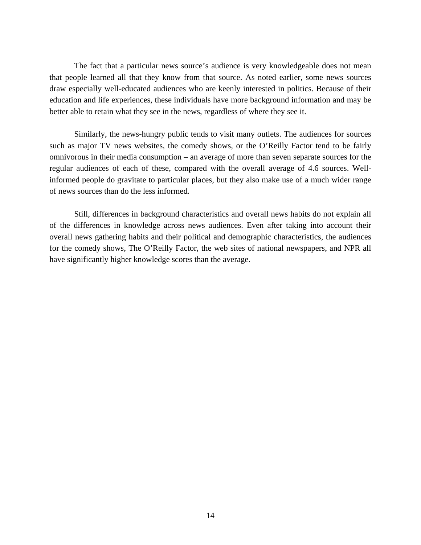The fact that a particular news source's audience is very knowledgeable does not mean that people learned all that they know from that source. As noted earlier, some news sources draw especially well-educated audiences who are keenly interested in politics. Because of their education and life experiences, these individuals have more background information and may be better able to retain what they see in the news, regardless of where they see it.

Similarly, the news-hungry public tends to visit many outlets. The audiences for sources such as major TV news websites, the comedy shows, or the O'Reilly Factor tend to be fairly omnivorous in their media consumption – an average of more than seven separate sources for the regular audiences of each of these, compared with the overall average of 4.6 sources. Wellinformed people do gravitate to particular places, but they also make use of a much wider range of news sources than do the less informed.

Still, differences in background characteristics and overall news habits do not explain all of the differences in knowledge across news audiences. Even after taking into account their overall news gathering habits and their political and demographic characteristics, the audiences for the comedy shows, The O'Reilly Factor, the web sites of national newspapers, and NPR all have significantly higher knowledge scores than the average.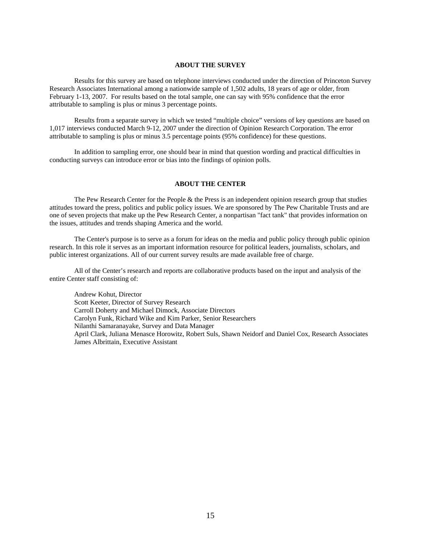#### **ABOUT THE SURVEY**

 Results for this survey are based on telephone interviews conducted under the direction of Princeton Survey Research Associates International among a nationwide sample of 1,502 adults, 18 years of age or older, from February 1-13, 2007. For results based on the total sample, one can say with 95% confidence that the error attributable to sampling is plus or minus 3 percentage points.

 Results from a separate survey in which we tested "multiple choice" versions of key questions are based on 1,017 interviews conducted March 9-12, 2007 under the direction of Opinion Research Corporation. The error attributable to sampling is plus or minus 3.5 percentage points (95% confidence) for these questions.

 In addition to sampling error, one should bear in mind that question wording and practical difficulties in conducting surveys can introduce error or bias into the findings of opinion polls.

#### **ABOUT THE CENTER**

 The Pew Research Center for the People & the Press is an independent opinion research group that studies attitudes toward the press, politics and public policy issues. We are sponsored by The Pew Charitable Trusts and are one of seven projects that make up the Pew Research Center, a nonpartisan "fact tank" that provides information on the issues, attitudes and trends shaping America and the world.

 The Center's purpose is to serve as a forum for ideas on the media and public policy through public opinion research. In this role it serves as an important information resource for political leaders, journalists, scholars, and public interest organizations. All of our current survey results are made available free of charge.

 All of the Center's research and reports are collaborative products based on the input and analysis of the entire Center staff consisting of:

 Andrew Kohut, Director Scott Keeter, Director of Survey Research Carroll Doherty and Michael Dimock, Associate Directors Carolyn Funk, Richard Wike and Kim Parker, Senior Researchers Nilanthi Samaranayake, Survey and Data Manager April Clark, Juliana Menasce Horowitz, Robert Suls, Shawn Neidorf and Daniel Cox, Research Associates James Albrittain, Executive Assistant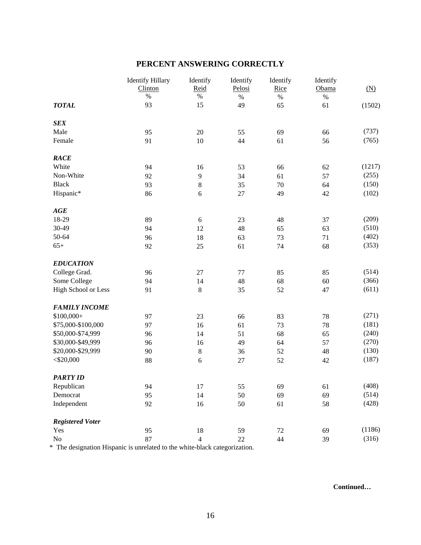# **PERCENT ANSWERING CORRECTLY**

|                         | <b>Identify Hillary</b><br>Clinton | Identify<br>Reid | Identify<br>Pelosi | Identify<br>Rice | Identify<br>Obama | (N)    |
|-------------------------|------------------------------------|------------------|--------------------|------------------|-------------------|--------|
|                         | $\%$                               | $\%$             | $\%$               | $\%$             | $\%$              |        |
| <b>TOTAL</b>            | 93                                 | 15               | 49                 | 65               | 61                | (1502) |
| <b>SEX</b>              |                                    |                  |                    |                  |                   |        |
| Male                    | 95                                 | 20               | 55                 | 69               | 66                | (737)  |
| Female                  | 91                                 | 10               | 44                 | 61               | 56                | (765)  |
| RACE                    |                                    |                  |                    |                  |                   |        |
| White                   | 94                                 | 16               | 53                 | 66               | 62                | (1217) |
| Non-White               | 92                                 | $\mathbf{9}$     | 34                 | 61               | 57                | (255)  |
| <b>Black</b>            | 93                                 | $\,$ 8 $\,$      | 35                 | 70               | 64                | (150)  |
| Hispanic*               | 86                                 | 6                | 27                 | 49               | 42                | (102)  |
| AGE                     |                                    |                  |                    |                  |                   |        |
| 18-29                   | 89                                 | $\sqrt{6}$       | 23                 | 48               | 37                | (209)  |
| 30-49                   | 94                                 | 12               | 48                 | 65               | 63                | (510)  |
| 50-64                   | 96                                 | 18               | 63                 | 73               | 71                | (402)  |
| $65+$                   | 92                                 | 25               | 61                 | 74               | 68                | (353)  |
| <b>EDUCATION</b>        |                                    |                  |                    |                  |                   |        |
| College Grad.           | 96                                 | 27               | 77                 | 85               | 85                | (514)  |
| Some College            | 94                                 | 14               | 48                 | 68               | 60                | (366)  |
| High School or Less     | 91                                 | $\,$ 8 $\,$      | 35                 | 52               | 47                | (611)  |
| <b>FAMILY INCOME</b>    |                                    |                  |                    |                  |                   |        |
| $$100,000+$             | 97                                 | 23               | 66                 | 83               | 78                | (271)  |
| \$75,000-\$100,000      | 97                                 | 16               | 61                 | 73               | 78                | (181)  |
| \$50,000-\$74,999       | 96                                 | 14               | 51                 | 68               | 65                | (240)  |
| \$30,000-\$49,999       | 96                                 | 16               | 49                 | 64               | 57                | (270)  |
| \$20,000-\$29,999       | 90                                 | $\bf 8$          | 36                 | 52               | 48                | (130)  |
| $<$ \$20,000            | 88                                 | $\sqrt{6}$       | $27\,$             | 52               | 42                | (187)  |
| <b>PARTY ID</b>         |                                    |                  |                    |                  |                   |        |
| Republican              | 94                                 | 17               | 55                 | 69               | 61                | (408)  |
| Democrat                | 95                                 | 14               | 50                 | 69               | 69                | (514)  |
| Independent             | 92                                 | 16               | 50                 | 61               | 58                | (428)  |
| <b>Registered Voter</b> |                                    |                  |                    |                  |                   |        |
| Yes                     | 95                                 | $18\,$           | 59                 | $72\,$           | 69                | (1186) |
| $\rm No$                | 87                                 | $\overline{4}$   | 22                 | 44               | 39                | (316)  |

\* The designation Hispanic is unrelated to the white-black categorization.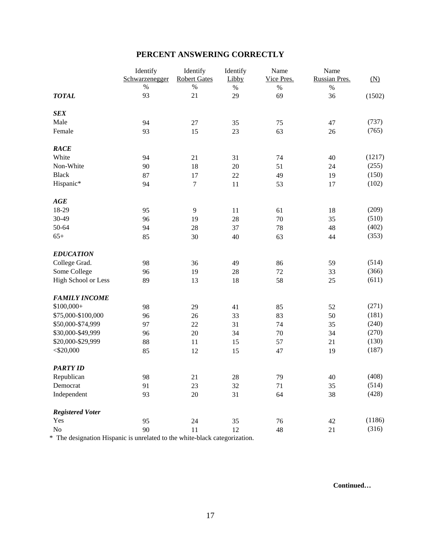|  |  | PERCENT ANSWERING CORRECTLY |
|--|--|-----------------------------|
|--|--|-----------------------------|

|                         | Identify       | Identify            | Identify | Name       | Name          |        |
|-------------------------|----------------|---------------------|----------|------------|---------------|--------|
|                         | Schwarzenegger | <b>Robert Gates</b> | Libby    | Vice Pres. | Russian Pres. | (N)    |
|                         | $\%$           | $\%$                | $\%$     | $\%$       | $\%$          |        |
| <b>TOTAL</b>            | 93             | 21                  | 29       | 69         | 36            | (1502) |
| <b>SEX</b>              |                |                     |          |            |               |        |
| Male                    | 94             | 27                  | 35       | 75         | 47            | (737)  |
| Female                  | 93             | 15                  | 23       | 63         | 26            | (765)  |
| <b>RACE</b>             |                |                     |          |            |               |        |
| White                   | 94             | 21                  | 31       | 74         | 40            | (1217) |
| Non-White               | 90             | 18                  | 20       | 51         | 24            | (255)  |
| <b>Black</b>            | 87             | 17                  | 22       | 49         | 19            | (150)  |
| Hispanic*               | 94             | 7                   | 11       | 53         | 17            | (102)  |
| AGE                     |                |                     |          |            |               |        |
| 18-29                   | 95             | 9                   | 11       | 61         | 18            | (209)  |
| 30-49                   | 96             | 19                  | 28       | 70         | 35            | (510)  |
| 50-64                   | 94             | 28                  | 37       | 78         | 48            | (402)  |
| $65+$                   | 85             | 30                  | 40       | 63         | 44            | (353)  |
| <b>EDUCATION</b>        |                |                     |          |            |               |        |
| College Grad.           | 98             | 36                  | 49       | 86         | 59            | (514)  |
| Some College            | 96             | 19                  | 28       | 72         | 33            | (366)  |
| High School or Less     | 89             | 13                  | 18       | 58         | 25            | (611)  |
| <b>FAMILY INCOME</b>    |                |                     |          |            |               |        |
| $$100,000+$             | 98             | 29                  | 41       | 85         | 52            | (271)  |
| \$75,000-\$100,000      | 96             | 26                  | 33       | 83         | 50            | (181)  |
| \$50,000-\$74,999       | 97             | 22                  | 31       | 74         | 35            | (240)  |
| \$30,000-\$49,999       | 96             | 20                  | 34       | 70         | 34            | (270)  |
| \$20,000-\$29,999       | 88             | 11                  | 15       | 57         | 21            | (130)  |
| $<$ \$20,000            | 85             | 12                  | 15       | 47         | 19            | (187)  |
| <b>PARTY ID</b>         |                |                     |          |            |               |        |
| Republican              | 98             | 21                  | $28\,$   | 79         | $40\,$        | (408)  |
| Democrat                | 91             | 23                  | 32       | 71         | 35            | (514)  |
| Independent             | 93             | 20                  | 31       | 64         | 38            | (428)  |
| <b>Registered Voter</b> |                |                     |          |            |               |        |
| Yes                     | 95             | 24                  | 35       | $76\,$     | 42            | (1186) |
| $\rm No$                | 90             | $11\,$              | 12       | 48         | 21            | (316)  |

\* The designation Hispanic is unrelated to the white-black categorization.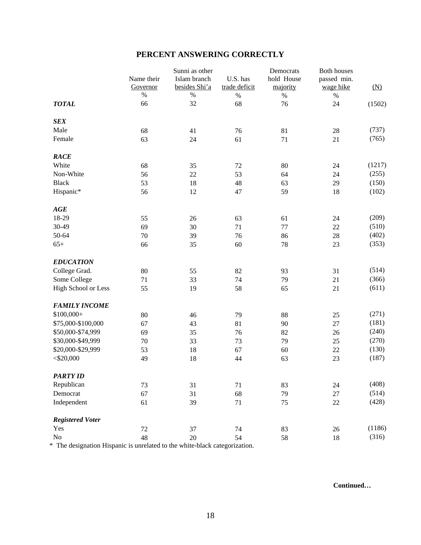# **PERCENT ANSWERING CORRECTLY**

|                         |                        | Sunni as other                |                           | Democrats              | <b>Both houses</b>       |        |
|-------------------------|------------------------|-------------------------------|---------------------------|------------------------|--------------------------|--------|
|                         | Name their<br>Governor | Islam branch<br>besides Shi'a | U.S. has<br>trade deficit | hold House<br>majority | passed min.<br>wage hike |        |
|                         | $\%$                   | $\%$                          | $\%$                      | $\%$                   | $\%$                     | (N)    |
| <b>TOTAL</b>            | 66                     | 32                            | 68                        | 76                     | 24                       | (1502) |
| <b>SEX</b>              |                        |                               |                           |                        |                          |        |
| Male                    | 68                     | 41                            | 76                        | 81                     | 28                       | (737)  |
| Female                  | 63                     | 24                            | 61                        | 71                     | 21                       | (765)  |
| <b>RACE</b>             |                        |                               |                           |                        |                          |        |
| White                   | 68                     | 35                            | 72                        | 80                     | 24                       | (1217) |
| Non-White               | 56                     | 22                            | 53                        | 64                     | 24                       | (255)  |
| <b>Black</b>            | 53                     | 18                            | 48                        | 63                     | 29                       | (150)  |
| Hispanic*               | 56                     | 12                            | 47                        | 59                     | 18                       | (102)  |
| AGE                     |                        |                               |                           |                        |                          |        |
| 18-29                   | 55                     | 26                            | 63                        | 61                     | 24                       | (209)  |
| 30-49                   | 69                     | 30                            | 71                        | 77                     | $22\,$                   | (510)  |
| 50-64                   | 70                     | 39                            | 76                        | 86                     | 28                       | (402)  |
| $65+$                   | 66                     | 35                            | 60                        | 78                     | 23                       | (353)  |
| <b>EDUCATION</b>        |                        |                               |                           |                        |                          |        |
| College Grad.           | 80                     | 55                            | 82                        | 93                     | 31                       | (514)  |
| Some College            | 71                     | 33                            | 74                        | 79                     | 21                       | (366)  |
| High School or Less     | 55                     | 19                            | 58                        | 65                     | 21                       | (611)  |
| <b>FAMILY INCOME</b>    |                        |                               |                           |                        |                          |        |
| $$100,000+$             | 80                     | 46                            | 79                        | 88                     | 25                       | (271)  |
| \$75,000-\$100,000      | 67                     | 43                            | 81                        | 90                     | 27                       | (181)  |
| \$50,000-\$74,999       | 69                     | 35                            | 76                        | 82                     | 26                       | (240)  |
| \$30,000-\$49,999       | 70                     | 33                            | 73                        | 79                     | 25                       | (270)  |
| \$20,000-\$29,999       | 53                     | 18                            | 67                        | 60                     | 22                       | (130)  |
| $<$ \$20,000            | 49                     | 18                            | 44                        | 63                     | 23                       | (187)  |
| <b>PARTY ID</b>         |                        |                               |                           |                        |                          |        |
| Republican              | 73                     | 31                            | 71                        | 83                     | 24                       | (408)  |
| Democrat                | 67                     | 31                            | 68                        | 79                     | 27                       | (514)  |
| Independent             | 61                     | 39                            | 71                        | 75                     | $22\,$                   | (428)  |
| <b>Registered Voter</b> |                        |                               |                           |                        |                          |        |
| Yes                     | $72\,$                 | 37                            | 74                        | 83                     | $26\,$                   | (1186) |
| $\rm No$                | 48                     | 20                            | 54                        | 58                     | 18                       | (316)  |

\* The designation Hispanic is unrelated to the white-black categorization.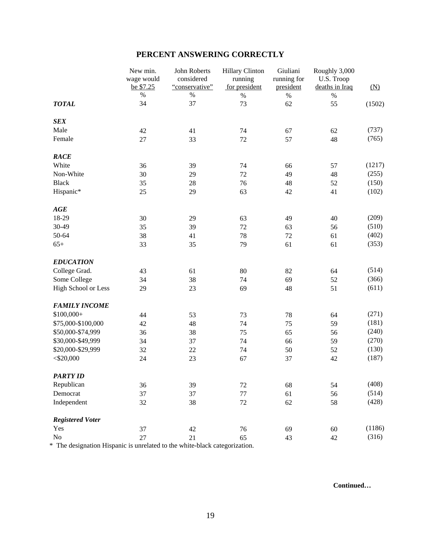# **PERCENT ANSWERING CORRECTLY**

|                         | New min.<br>wage would<br>be \$7.25 | John Roberts<br>considered<br>"conservative" | <b>Hillary Clinton</b><br>running<br>for president | Giuliani<br>running for<br>president | Roughly 3,000<br>U.S. Troop<br>deaths in Iraq | $(\underline{N})$ |
|-------------------------|-------------------------------------|----------------------------------------------|----------------------------------------------------|--------------------------------------|-----------------------------------------------|-------------------|
|                         | $\%$                                | $\%$                                         | $\%$                                               | $\%$                                 | $\%$                                          |                   |
| <b>TOTAL</b>            | 34                                  | 37                                           | 73                                                 | 62                                   | 55                                            | (1502)            |
| <b>SEX</b>              |                                     |                                              |                                                    |                                      |                                               |                   |
| Male                    | 42                                  | 41                                           | 74                                                 | 67                                   | 62                                            | (737)             |
| Female                  | 27                                  | 33                                           | 72                                                 | 57                                   | 48                                            | (765)             |
| <b>RACE</b>             |                                     |                                              |                                                    |                                      |                                               |                   |
| White                   | 36                                  | 39                                           | 74                                                 | 66                                   | 57                                            | (1217)            |
| Non-White               | 30                                  | 29                                           | $72\,$                                             | 49                                   | 48                                            | (255)             |
| <b>Black</b>            | 35                                  | 28                                           | 76                                                 | 48                                   | 52                                            | (150)             |
| Hispanic*               | 25                                  | 29                                           | 63                                                 | 42                                   | 41                                            | (102)             |
| AGE                     |                                     |                                              |                                                    |                                      |                                               |                   |
| 18-29                   | 30                                  | 29                                           | 63                                                 | 49                                   | 40                                            | (209)             |
| 30-49                   | 35                                  | 39                                           | $72\,$                                             | 63                                   | 56                                            | (510)             |
| 50-64                   | 38                                  | 41                                           | 78                                                 | 72                                   | 61                                            | (402)             |
| $65+$                   | 33                                  | 35                                           | 79                                                 | 61                                   | 61                                            | (353)             |
| <b>EDUCATION</b>        |                                     |                                              |                                                    |                                      |                                               |                   |
| College Grad.           | 43                                  | 61                                           | 80                                                 | 82                                   | 64                                            | (514)             |
| Some College            | 34                                  | 38                                           | 74                                                 | 69                                   | 52                                            | (366)             |
| High School or Less     | 29                                  | 23                                           | 69                                                 | 48                                   | 51                                            | (611)             |
| <b>FAMILY INCOME</b>    |                                     |                                              |                                                    |                                      |                                               |                   |
| $$100,000+$             | 44                                  | 53                                           | 73                                                 | 78                                   | 64                                            | (271)             |
| \$75,000-\$100,000      | 42                                  | 48                                           | 74                                                 | 75                                   | 59                                            | (181)             |
| \$50,000-\$74,999       | 36                                  | 38                                           | 75                                                 | 65                                   | 56                                            | (240)             |
| \$30,000-\$49,999       | 34                                  | 37                                           | 74                                                 | 66                                   | 59                                            | (270)             |
| \$20,000-\$29,999       | 32                                  | 22                                           | 74                                                 | 50                                   | 52                                            | (130)             |
| $<$ \$20,000            | 24                                  | 23                                           | 67                                                 | 37                                   | 42                                            | (187)             |
| <b>PARTY ID</b>         |                                     |                                              |                                                    |                                      |                                               |                   |
| Republican              | 36                                  | 39                                           | 72                                                 | 68                                   | 54                                            | (408)             |
| Democrat                | 37                                  | 37                                           | 77                                                 | 61                                   | 56                                            | (514)             |
| Independent             | 32                                  | 38                                           | $72\,$                                             | 62                                   | 58                                            | (428)             |
| <b>Registered Voter</b> |                                     |                                              |                                                    |                                      |                                               |                   |
| Yes                     | 37                                  | 42                                           | 76                                                 | 69                                   | $60\,$                                        | (1186)            |
| $\rm No$                | $27\,$                              | 21                                           | 65                                                 | 43                                   | 42                                            | (316)             |

\* The designation Hispanic is unrelated to the white-black categorization.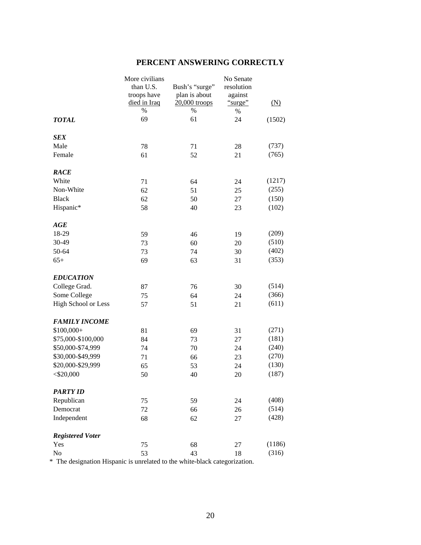| PERCENT ANSWERING CORRECTLY |  |  |
|-----------------------------|--|--|
|-----------------------------|--|--|

|                         | More civilians |                | No Senate  |        |
|-------------------------|----------------|----------------|------------|--------|
|                         | than U.S.      | Bush's "surge" | resolution |        |
|                         | troops have    | plan is about  | against    |        |
|                         | died in Iraq   | 20,000 troops  | "surge"    | (N)    |
|                         | %              | $\%$           | $\%$       |        |
| <b>TOTAL</b>            | 69             | 61             | 24         | (1502) |
| <b>SEX</b>              |                |                |            |        |
| Male                    | 78             | 71             | 28         | (737)  |
| Female                  | 61             | 52             | 21         | (765)  |
| <b>RACE</b>             |                |                |            |        |
| White                   | 71             | 64             | 24         | (1217) |
| Non-White               | 62             | 51             | 25         | (255)  |
| <b>Black</b>            | 62             | 50             | 27         | (150)  |
| Hispanic*               | 58             | 40             | 23         | (102)  |
| AGE                     |                |                |            |        |
| 18-29                   | 59             | 46             | 19         | (209)  |
| 30-49                   | 73             | 60             | 20         | (510)  |
| 50-64                   | 73             | 74             | 30         | (402)  |
| $65+$                   | 69             | 63             | 31         | (353)  |
| <b>EDUCATION</b>        |                |                |            |        |
| College Grad.           | 87             | 76             | 30         | (514)  |
| Some College            | 75             | 64             | 24         | (366)  |
| High School or Less     | 57             | 51             | 21         | (611)  |
| <b>FAMILY INCOME</b>    |                |                |            |        |
| $$100,000+$             | 81             | 69             | 31         | (271)  |
| \$75,000-\$100,000      | 84             | 73             | 27         | (181)  |
| \$50,000-\$74,999       | 74             | 70             | 24         | (240)  |
| \$30,000-\$49,999       | 71             | 66             | 23         | (270)  |
| \$20,000-\$29,999       | 65             | 53             | 24         | (130)  |
| $<$ \$20,000            | 50             | 40             | 20         | (187)  |
| <b>PARTY ID</b>         |                |                |            |        |
| Republican              | 75             | 59             | 24         | (408)  |
| Democrat                | 72             | 66             | 26         | (514)  |
| Independent             | 68             | 62             | 27         | (428)  |
| <b>Registered Voter</b> |                |                |            |        |
| Yes                     | 75             | 68             | 27         | (1186) |
| N <sub>o</sub>          | 53             | 43             | 18         | (316)  |

\* The designation Hispanic is unrelated to the white-black categorization.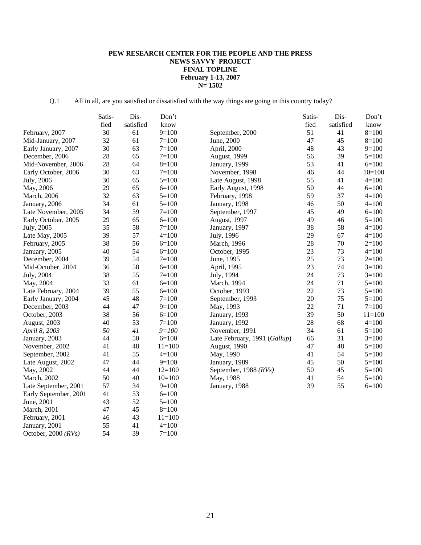# **PEW RESEARCH CENTER FOR THE PEOPLE AND THE PRESS NEWS SAVVY PROJECT FINAL TOPLINE February 1-13, 2007 N= 1502**

Q.1 All in all, are you satisfied or dissatisfied with the way things are going in this country today?

|                       | Satis- | Dis-      | Don't      |                              | Satis- | Dis-      | Don't      |
|-----------------------|--------|-----------|------------|------------------------------|--------|-----------|------------|
|                       | fied   | satisfied | know       |                              | fied   | satisfied | know       |
| February, 2007        | 30     | 61        | $9=100$    | September, 2000              | 51     | 41        | $8=100$    |
| Mid-January, 2007     | 32     | 61        | $7 = 100$  | June, 2000                   | 47     | 45        | $8=100$    |
| Early January, 2007   | 30     | 63        | $7 = 100$  | April, 2000                  | 48     | 43        | $9=100$    |
| December, 2006        | 28     | 65        | $7 = 100$  | August, 1999                 | 56     | 39        | $5=100$    |
| Mid-November, 2006    | 28     | 64        | $8=100$    | January, 1999                | 53     | 41        | $6=100$    |
| Early October, 2006   | 30     | 63        | $7 = 100$  | November, 1998               | 46     | 44        | $10=100$   |
| July, 2006            | 30     | 65        | $5 = 100$  | Late August, 1998            | 55     | 41        | $4=100$    |
| May, 2006             | 29     | 65        | $6=100$    | Early August, 1998           | 50     | 44        | $6=100$    |
| March, 2006           | 32     | 63        | $5=100$    | February, 1998               | 59     | 37        | $4=100$    |
| January, 2006         | 34     | 61        | $5 = 100$  | January, 1998                | 46     | 50        | $4=100$    |
| Late November, 2005   | 34     | 59        | $7 = 100$  | September, 1997              | 45     | 49        | $6=100$    |
| Early October, 2005   | 29     | 65        | $6=100$    | August, 1997                 | 49     | 46        | $5=100$    |
| July, 2005            | 35     | 58        | $7 = 100$  | January, 1997                | 38     | 58        | $4=100$    |
| Late May, 2005        | 39     | 57        | $4 = 100$  | July, 1996                   | 29     | 67        | $4=100$    |
| February, 2005        | 38     | 56        | $6=100$    | March, 1996                  | 28     | 70        | $2=100$    |
| January, 2005         | 40     | 54        | $6=100$    | October, 1995                | 23     | 73        | $4 = 100$  |
| December, 2004        | 39     | 54        | $7 = 100$  | June, 1995                   | 25     | 73        | $2=100$    |
| Mid-October, 2004     | 36     | 58        | $6=100$    | April, 1995                  | 23     | 74        | $3=100$    |
| July, 2004            | 38     | 55        | $7 = 100$  | July, 1994                   | 24     | 73        | $3=100$    |
| May, 2004             | 33     | 61        | $6=100$    | March, 1994                  | 24     | 71        | $5=100$    |
| Late February, 2004   | 39     | 55        | $6 = 100$  | October, 1993                | 22     | 73        | $5=100$    |
| Early January, 2004   | 45     | 48        | $7 = 100$  | September, 1993              | 20     | 75        | $5 = 100$  |
| December, 2003        | 44     | 47        | $9=100$    | May, 1993                    | 22     | 71        | $7 = 100$  |
| October, 2003         | 38     | 56        | $6=100$    | January, 1993                | 39     | 50        | $11 = 100$ |
| August, 2003          | 40     | 53        | $7 = 100$  | January, 1992                | 28     | 68        | $4 = 100$  |
| April 8, 2003         | 50     | 41        | $9 = 100$  | November, 1991               | 34     | 61        | $5 = 100$  |
| January, 2003         | 44     | 50        | $6=100$    | Late February, 1991 (Gallup) | 66     | 31        | $3=100$    |
| November, 2002        | 41     | 48        | $11 = 100$ | August, 1990                 | 47     | 48        | $5=100$    |
| September, 2002       | 41     | 55        | $4 = 100$  | May, 1990                    | 41     | 54        | $5 = 100$  |
| Late August, 2002     | 47     | 44        | $9=100$    | January, 1989                | 45     | 50        | $5=100$    |
| May, 2002             | 44     | 44        | $12=100$   | September, 1988 (RVs)        | 50     | 45        | $5=100$    |
| March, 2002           | 50     | 40        | $10=100$   | May, 1988                    | 41     | 54        | $5=100$    |
| Late September, 2001  | 57     | 34        | $9=100$    | January, 1988                | 39     | 55        | $6=100$    |
| Early September, 2001 | 41     | 53        | $6=100$    |                              |        |           |            |
| June, 2001            | 43     | 52        | $5 = 100$  |                              |        |           |            |
| March, 2001           | 47     | 45        | $8=100$    |                              |        |           |            |
| February, 2001        | 46     | 43        | $11 = 100$ |                              |        |           |            |
| January, 2001         | 55     | 41        | $4 = 100$  |                              |        |           |            |
| October, 2000 $(RVs)$ | 54     | 39        | $7 = 100$  |                              |        |           |            |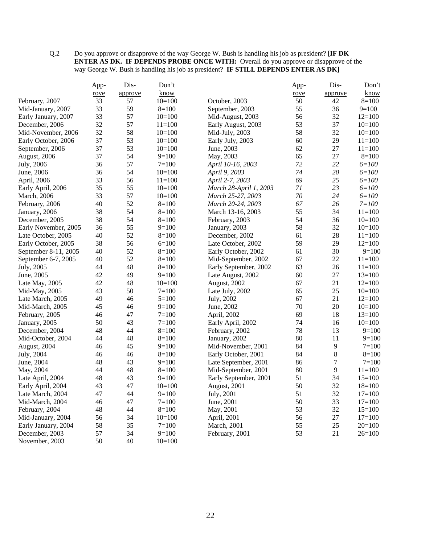#### Q.2 Do you approve or disapprove of the way George W. Bush is handling his job as president? **[IF DK ENTER AS DK. IF DEPENDS PROBE ONCE WITH:** Overall do you approve or disapprove of the way George W. Bush is handling his job as president? **IF STILL DEPENDS ENTER AS DK]**

|                      | App- | Dis-    | Don't      |                        | App- | Dis-    | Don't      |
|----------------------|------|---------|------------|------------------------|------|---------|------------|
|                      | rove | approve | know       |                        | rove | approve | know       |
| February, 2007       | 33   | 57      | $10=100$   | October, 2003          | 50   | 42      | $8=100$    |
| Mid-January, 2007    | 33   | 59      | $8=100$    | September, 2003        | 55   | 36      | $9=100$    |
| Early January, 2007  | 33   | 57      | $10=100$   | Mid-August, 2003       | 56   | 32      | $12=100$   |
| December, 2006       | 32   | 57      | $11 = 100$ | Early August, 2003     | 53   | 37      | $10=100$   |
| Mid-November, 2006   | 32   | 58      | $10=100$   | Mid-July, 2003         | 58   | 32      | $10=100$   |
| Early October, 2006  | 37   | 53      | $10=100$   | Early July, 2003       | 60   | 29      | $11 = 100$ |
| September, 2006      | 37   | 53      | $10=100$   | June, 2003             | 62   | 27      | $11=100$   |
| August, 2006         | 37   | 54      | $9=100$    | May, 2003              | 65   | 27      | $8=100$    |
| July, 2006           | 36   | 57      | $7 = 100$  | April 10-16, 2003      | 72   | 22      | $6 = 100$  |
| June, 2006           | 36   | 54      | $10=100$   | April 9, 2003          | 74   | 20      | $6 = 100$  |
| April, 2006          | 33   | 56      | $11 = 100$ | April 2-7, 2003        | 69   | 25      | $6 = 100$  |
| Early April, 2006    | 35   | 55      | $10=100$   | March 28-April 1, 2003 | 71   | 23      | $6 = 100$  |
| March, 2006          | 33   | 57      | $10=100$   | March 25-27, 2003      | 70   | 24      | $6 = 100$  |
| February, 2006       | 40   | 52      | $8=100$    | March 20-24, 2003      | 67   | 26      | $7 = 100$  |
| January, 2006        | 38   | 54      | $8=100$    | March 13-16, 2003      | 55   | 34      | $11 = 100$ |
| December, 2005       | 38   | 54      | $8=100$    | February, 2003         | 54   | 36      | $10=100$   |
| Early November, 2005 | 36   | 55      | $9=100$    | January, 2003          | 58   | 32      | $10=100$   |
| Late October, 2005   | 40   | 52      | $8=100$    | December, 2002         | 61   | 28      | $11 = 100$ |
| Early October, 2005  | 38   | 56      | $6=100$    | Late October, 2002     | 59   | 29      | $12=100$   |
| September 8-11, 2005 | 40   | 52      | $8=100$    | Early October, 2002    | 61   | 30      | $9=100$    |
| September 6-7, 2005  | 40   | 52      | $8=100$    | Mid-September, 2002    | 67   | 22      | $11=100$   |
| July, 2005           | 44   | 48      | $8=100$    | Early September, 2002  | 63   | 26      | $11 = 100$ |
| June, 2005           | 42   | 49      | $9=100$    | Late August, 2002      | 60   | 27      | $13=100$   |
| Late May, 2005       | 42   | 48      | $10=100$   | August, 2002           | 67   | 21      | $12=100$   |
| Mid-May, 2005        | 43   | 50      | $7=100$    | Late July, 2002        | 65   | 25      | $10=100$   |
| Late March, 2005     | 49   | 46      | $5=100$    | July, 2002             | 67   | 21      | $12=100$   |
| Mid-March, 2005      | 45   | 46      | $9=100$    | June, 2002             | 70   | 20      | $10=100$   |
| February, 2005       | 46   | 47      | $7=100$    | April, 2002            | 69   | 18      | $13=100$   |
| January, 2005        | 50   | 43      | $7 = 100$  | Early April, 2002      | 74   | 16      | $10=100$   |
| December, 2004       | 48   | 44      | $8=100$    | February, 2002         | 78   | 13      | $9=100$    |
| Mid-October, 2004    | 44   | 48      | $8=100$    | January, 2002          | 80   | 11      | $9=100$    |
| August, 2004         | 46   | 45      | $9=100$    | Mid-November, 2001     | 84   | 9       | $7 = 100$  |
| July, 2004           | 46   | 46      | $8=100$    | Early October, 2001    | 84   | $8\,$   | $8=100$    |
| June, 2004           | 48   | 43      | $9=100$    | Late September, 2001   | 86   | $\tau$  | $7 = 100$  |
| May, 2004            | 44   | 48      | $8=100$    | Mid-September, 2001    | 80   | 9       | $11=100$   |
| Late April, 2004     | 48   | 43      | $9=100$    | Early September, 2001  | 51   | 34      | $15=100$   |
| Early April, 2004    | 43   | 47      | $10=100$   | August, 2001           | 50   | 32      | $18=100$   |
| Late March, 2004     | 47   | 44      | $9=100$    | July, 2001             | 51   | 32      | $17=100$   |
| Mid-March, 2004      | 46   | 47      | $7=100$    | June, 2001             | 50   | 33      | $17=100$   |
| February, 2004       | 48   | 44      | $8 = 100$  | May, 2001              | 53   | 32      | $15=100$   |
| Mid-January, 2004    | 56   | 34      | $10=100$   | April, 2001            | 56   | 27      | $17=100$   |
| Early January, 2004  | 58   | 35      | $7=100$    | March, 2001            | 55   | 25      | $20=100$   |
| December, 2003       | 57   | 34      | $9=100$    | February, 2001         | 53   | 21      | $26=100$   |
| November, 2003       | 50   | 40      | $10=100$   |                        |      |         |            |
|                      |      |         |            |                        |      |         |            |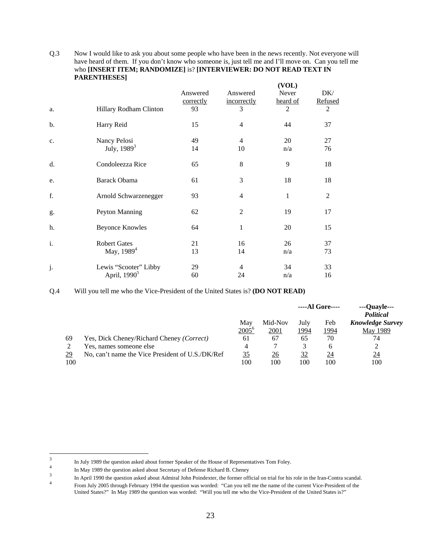|    |                                                   |                       |                         | (VOL)             |                |
|----|---------------------------------------------------|-----------------------|-------------------------|-------------------|----------------|
|    |                                                   | Answered<br>correctly | Answered<br>incorrectly | Never<br>heard of | DK/<br>Refused |
| a. | Hillary Rodham Clinton                            | 93                    | 3                       | 2                 | $\overline{2}$ |
| b. | Harry Reid                                        | 15                    | $\overline{4}$          | 44                | 37             |
| c. | Nancy Pelosi<br>July, 1989 <sup>3</sup>           | 49<br>14              | $\overline{4}$<br>10    | 20<br>n/a         | 27<br>76       |
| d. | Condoleezza Rice                                  | 65                    | 8                       | 9                 | 18             |
| e. | Barack Obama                                      | 61                    | 3                       | 18                | 18             |
| f. | Arnold Schwarzenegger                             | 93                    | $\overline{4}$          | 1                 | $\overline{2}$ |
| g. | Peyton Manning                                    | 62                    | $\overline{2}$          | 19                | 17             |
| h. | <b>Beyonce Knowles</b>                            | 64                    | 1                       | 20                | 15             |
| i. | <b>Robert Gates</b><br>May, 1989 <sup>4</sup>     | 21<br>13              | 16<br>14                | 26<br>n/a         | 37<br>73       |
| j. | Lewis "Scooter" Libby<br>April, 1990 <sup>5</sup> | 29<br>60              | $\overline{4}$<br>24    | 34<br>n/a         | 33<br>16       |

Q.3 Now I would like to ask you about some people who have been in the news recently. Not everyone will have heard of them. If you don't know who someone is, just tell me and I'll move on. Can you tell me who **[INSERT ITEM; RANDOMIZE]** is? **[INTERVIEWER: DO NOT READ TEXT IN PARENTHESES]** 

#### Q.4 Will you tell me who the Vice-President of the United States is? **(DO NOT READ)**

|     |                                                  |           |             |      | ----Al Gore---- | ---Quayle---<br><b>Political</b> |
|-----|--------------------------------------------------|-----------|-------------|------|-----------------|----------------------------------|
|     |                                                  | May       | Mid-Nov     | July | Feb             | <b>Knowledge Survey</b>          |
|     |                                                  | $2005^6$  | <u>2001</u> | 1994 | 1994            | <b>May 1989</b>                  |
| 69  | Yes, Dick Cheney/Richard Cheney (Correct)        | 61        | 67          | 65   | 70              | 74                               |
|     | Yes, names someone else                          | 4         |             |      | h               |                                  |
| 29  | No, can't name the Vice President of U.S./DK/Ref | <u>35</u> | 26          | 32   | 24              | $\underline{24}$                 |
| 100 |                                                  | 100       | 100         | 100  | 100             | 100                              |

<sup>&</sup>lt;sup>2</sup><br>3 In July 1989 the question asked about former Speaker of the House of Representatives Tom Foley.<br>In May 1989 the question asked about Secretary of Defense Richard B. Cheney

In May 1989 the question asked about Beerstary of Defense Richard B. Cheney 3 In April 1990 the question asked about Admiral John Poindexter, the former official on trial for his role in the Iran-Contra scandal.

<sup>4</sup> From July 2005 through February 1994 the question was worded: "Can you tell me the name of the current Vice-President of the United States?" In May 1989 the question was worded: "Will you tell me who the Vice-President of the United States is?"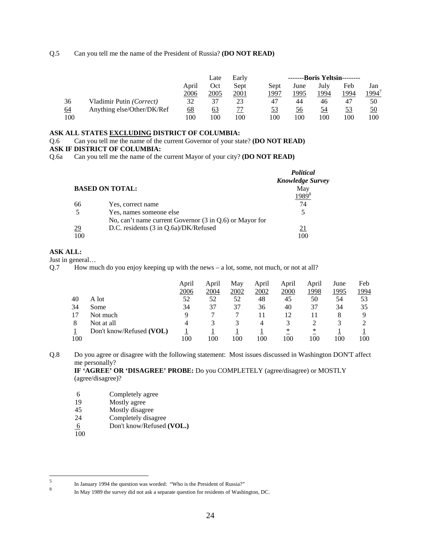Q.5 Can you tell me the name of the President of Russia? **(DO NOT READ)**

|           |                            |           | Late | Early |      | --------Boris Yeltsin-------- |      |      |                   |
|-----------|----------------------------|-----------|------|-------|------|-------------------------------|------|------|-------------------|
|           |                            | April     | Oct  | Sept  | Sept | June                          | July | Feb  | Jan               |
|           |                            | 2006      | 2005 | 2001  | 1997 | 1995                          | 1994 | 1994 | 1994 <sup>.</sup> |
| 36        | Vladimir Putin (Correct)   | 32        | 37   | 23    | 47   | 44                            | 46   | 47   | 50                |
| <u>64</u> | Anything else/Other/DK/Ref | <u>68</u> | 63   |       | 53   | 56                            | 54   | 53   | 50                |
| 100       |                            | 100       | 100  | 100   | 100  | 100                           | 100  | 100  | 100               |

## **ASK ALL STATES EXCLUDING DISTRICT OF COLUMBIA:**

Q.6 Can you tell me the name of the current Governor of your state? **(DO NOT READ)** 

#### **ASK IF DISTRICT OF COLUMBIA:**

Q.6a Can you tell me the name of the current Mayor of your city? **(DO NOT READ)**

|           |                                                                    | <b>Political</b>        |
|-----------|--------------------------------------------------------------------|-------------------------|
|           |                                                                    | <b>Knowledge Survey</b> |
|           | <b>BASED ON TOTAL:</b>                                             | May                     |
|           |                                                                    |                         |
| 66        | Yes, correct name                                                  | 74                      |
|           | Yes, names someone else                                            |                         |
|           | No, can't name current Governor $(3 \text{ in } 0.6)$ or Mayor for |                         |
| <u>29</u> | D.C. residents (3 in Q.6a)/DK/Refused                              | 21                      |
| 100       |                                                                    | 100                     |

# **ASK ALL:**

#### Just in general…

Q.7 How much do you enjoy keeping up with the news – a lot, some, not much, or not at all?

|     |                          | April | April | May  | April | April | April | June | Feb  |
|-----|--------------------------|-------|-------|------|-------|-------|-------|------|------|
|     |                          | 2006  | 2004  | 2002 | 2002  | 2000  | 1998  | 1995 | 1994 |
| 40  | A lot                    | 52    | 52    | 52   | 48    | 45    | 50    | 54   | 53   |
| 34  | Some                     | 34    | 37    | 37   | 36    | 40    | 37    | 34   | 35   |
|     | Not much                 | 9     |       |      | 11    | 12    |       | 8    |      |
| 8   | Not at all               | 4     |       |      | 4     |       |       |      |      |
|     | Don't know/Refused (VOL) |       |       |      |       | ∗     | ∗     |      |      |
| 100 |                          | 100   | 100   | 100  | 100   | 100   | 100   | 100  | 100  |

Q.8 Do you agree or disagree with the following statement: Most issues discussed in Washington DON'T affect me personally?

**IF 'AGREE' OR 'DISAGREE' PROBE:** Do you COMPLETELY (agree/disagree) or MOSTLY (agree/disagree)?

- 6 Completely agree
- 19 Mostly agree<br>45 Mostly disagr
- 45 Mostly disagree<br>24 Completely disa
- Completely disagree
- 6 Don't know/Refused **(VOL.)**
- 100

 $\sqrt{5}$ <sup>5</sup> In January 1994 the question was worded: "Who is the President of Russia?"

<sup>8</sup> In May 1989 the survey did not ask a separate question for residents of Washington, DC.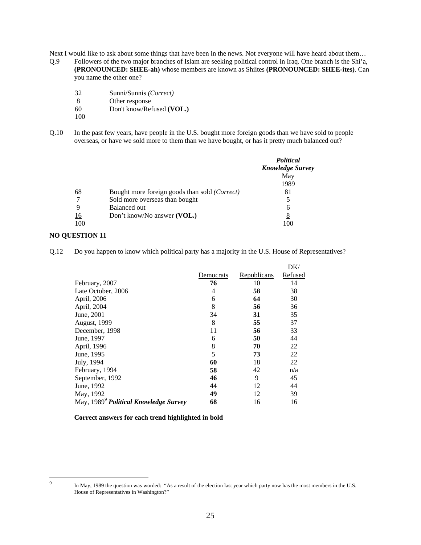Next I would like to ask about some things that have been in the news. Not everyone will have heard about them...

- Q.9 Followers of the two major branches of Islam are seeking political control in Iraq. One branch is the Shi'a, **(PRONOUNCED: SHEE-ah)** whose members are known as Shiites **(PRONOUNCED: SHEE-ites)**. Can you name the other one?
	- 32 Sunni/Sunnis *(Correct)*
	- Other response
	- 60 Don't know/Refused **(VOL.)**
	- 100
- Q.10 In the past few years, have people in the U.S. bought more foreign goods than we have sold to people overseas, or have we sold more to them than we have bought, or has it pretty much balanced out?

|     |                                                        | <i>Political</i><br><b>Knowledge Survey</b> |
|-----|--------------------------------------------------------|---------------------------------------------|
|     |                                                        | May                                         |
|     |                                                        | 1989                                        |
| 68  | Bought more foreign goods than sold ( <i>Correct</i> ) | 81                                          |
|     | Sold more overseas than bought                         | 5                                           |
| 9   | Balanced out                                           | 6                                           |
| 16  | Don't know/No answer (VOL.)                            | 8                                           |
| 100 |                                                        |                                             |

## **NO QUESTION 11**

Q.12 Do you happen to know which political party has a majority in the U.S. House of Representatives?

|                                                   |           |             | DK/     |
|---------------------------------------------------|-----------|-------------|---------|
|                                                   | Democrats | Republicans | Refused |
| February, 2007                                    | 76        | 10          | 14      |
| Late October, 2006                                | 4         | 58          | 38      |
| April, 2006                                       | 6         | 64          | 30      |
| April, 2004                                       | 8         | 56          | 36      |
| June, 2001                                        | 34        | 31          | 35      |
| August, 1999                                      | 8         | 55          | 37      |
| December, 1998                                    | 11        | 56          | 33      |
| June, 1997                                        | 6         | 50          | 44      |
| April, 1996                                       | 8         | 70          | 22      |
| June, 1995                                        | 5         | 73          | 22      |
| July, 1994                                        | 60        | 18          | 22      |
| February, 1994                                    | 58        | 42          | n/a     |
| September, 1992                                   | 46        | 9           | 45      |
| June, 1992                                        | 44        | 12          | 44      |
| May, 1992                                         | 49        | 12          | 39      |
| May, 1989 <sup>9</sup> Political Knowledge Survey | 68        | 16          | 16      |

#### **Correct answers for each trend highlighted in bold**

-<br>9

In May, 1989 the question was worded: "As a result of the election last year which party now has the most members in the U.S. House of Representatives in Washington?"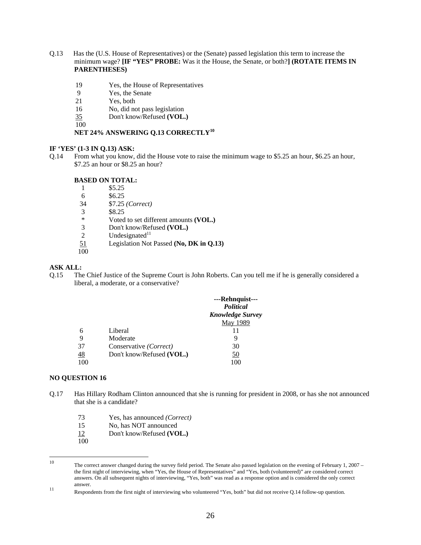- Q.13 Has the (U.S. House of Representatives) or the (Senate) passed legislation this term to increase the minimum wage? **[IF "YES" PROBE:** Was it the House, the Senate, or both?**] (ROTATE ITEMS IN PARENTHESES)** 
	- 19 Yes, the House of Representatives
	- 9 Yes, the Senate
	- 21 Yes, both
	- 16 No, did not pass legislation
	- 35 Don't know/Refused **(VOL.)**

100

# **NET 24% ANSWERING Q.13 CORRECTLY<sup>10</sup>**

#### **IF 'YES' (1-3 IN Q.13) ASK:**

Q.14 From what you know, did the House vote to raise the minimum wage to \$5.25 an hour, \$6.25 an hour, \$7.25 an hour or \$8.25 an hour?

#### **BASED ON TOTAL:**

- 1 \$5.25
- 6 \$6.25
- 34 \$7.25 *(Correct)*
- $\frac{3}{1000}$  \$8.25
- Voted to set different amounts **(VOL.)**
- 3 Don't know/Refused **(VOL.)**
- 2 Undesignated $11$
- 51 Legislation Not Passed **(No, DK in Q.13)**
- 100

#### **ASK ALL:**

Q.15 The Chief Justice of the Supreme Court is John Roberts. Can you tell me if he is generally considered a liberal, a moderate, or a conservative?

|                 |                           | ---Rehnquist---<br>Political |
|-----------------|---------------------------|------------------------------|
|                 |                           | <b>Knowledge Survey</b>      |
|                 |                           | May 1989                     |
| 6               | Liberal                   | 11                           |
| 9               | Moderate                  |                              |
| 37              | Conservative (Correct)    | 30                           |
| $\overline{48}$ | Don't know/Refused (VOL.) | 50                           |
| 100             |                           | 100                          |

#### **NO QUESTION 16**

- Q.17 Has Hillary Rodham Clinton announced that she is running for president in 2008, or has she not announced that she is a candidate?
	- 73 Yes, has announced *(Correct)*
	- 15 No, has NOT announced
	- 12 Don't know/Refused **(VOL.)**
	- 100

 $10<sup>10</sup>$ The correct answer changed during the survey field period. The Senate also passed legislation on the evening of February 1, 2007 – the first night of interviewing, when "Yes, the House of Representatives" and "Yes, both (volunteered)" are considered correct answers. On all subsequent nights of interviewing, "Yes, both" was read as a response option and is considered the only correct answer.

Respondents from the first night of interviewing who volunteered "Yes, both" but did not receive Q.14 follow-up question.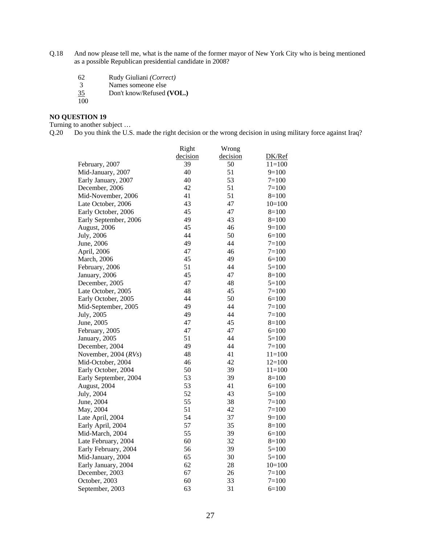- Q.18 And now please tell me, what is the name of the former mayor of New York City who is being mentioned as a possible Republican presidential candidate in 2008?
	- 62 Rudy Giuliani *(Correct)*
	- 3 Names someone else
	- 35 Don't know/Refused **(VOL.)**  $\frac{35}{100}$
	-

# **NO QUESTION 19**

Turning to another subject …

Q.20 Do you think the U.S. made the right decision or the wrong decision in using military force against Iraq?

|                       | Right    | Wrong    |            |
|-----------------------|----------|----------|------------|
|                       | decision | decision | DK/Ref     |
| February, 2007        | 39       | 50       | $11 = 100$ |
| Mid-January, 2007     | 40       | 51       | $9=100$    |
| Early January, 2007   | 40       | 53       | $7 = 100$  |
| December, 2006        | 42       | 51       | $7 = 100$  |
| Mid-November, 2006    | 41       | 51       | $8=100$    |
| Late October, 2006    | 43       | 47       | $10=100$   |
| Early October, 2006   | 45       | 47       | $8=100$    |
| Early September, 2006 | 49       | 43       | $8=100$    |
| August, 2006          | 45       | 46       | $9=100$    |
| July, 2006            | 44       | 50       | $6=100$    |
| June, 2006            | 49       | 44       | $7=100$    |
| April, 2006           | 47       | 46       | $7 = 100$  |
| March, 2006           | 45       | 49       | $6=100$    |
| February, 2006        | 51       | 44       | $5=100$    |
| January, 2006         | 45       | 47       | $8=100$    |
| December, 2005        | 47       | 48       | $5 = 100$  |
| Late October, 2005    | 48       | 45       | $7 = 100$  |
| Early October, 2005   | 44       | 50       | $6=100$    |
| Mid-September, 2005   | 49       | 44       | $7 = 100$  |
| July, 2005            | 49       | 44       | $7 = 100$  |
| June, 2005            | 47       | 45       | $8=100$    |
| February, 2005        | 47       | 47       | $6=100$    |
| January, 2005         | 51       | 44       | $5=100$    |
| December, 2004        | 49       | 44       | $7 = 100$  |
| November, 2004 (RVs)  | 48       | 41       | $11=100$   |
| Mid-October, 2004     | 46       | 42       | $12=100$   |
| Early October, 2004   | 50       | 39       | $11=100$   |
| Early September, 2004 | 53       | 39       | $8=100$    |
| August, 2004          | 53       | 41       | $6=100$    |
| July, 2004            | 52       | 43       | $5 = 100$  |
| June, 2004            | 55       | 38       | $7=100$    |
| May, 2004             | 51       | 42       | $7 = 100$  |
| Late April, 2004      | 54       | 37       | $9=100$    |
| Early April, 2004     | 57       | 35       | $8=100$    |
| Mid-March, 2004       | 55       | 39       | $6=100$    |
| Late February, 2004   | 60       | 32       | $8=100$    |
| Early February, 2004  | 56       | 39       | $5=100$    |
| Mid-January, 2004     | 65       | 30       | $5=100$    |
| Early January, 2004   | 62       | 28       | $10=100$   |
| December, 2003        | 67       | 26       | $7 = 100$  |
| October, 2003         | 60       | 33       | $7=100$    |
| September, 2003       | 63       | 31       | $6=100$    |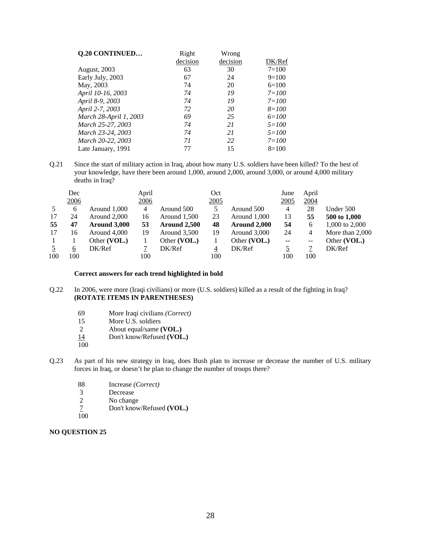| Q.20 CONTINUED         | Right    | Wrong    |           |
|------------------------|----------|----------|-----------|
|                        | decision | decision | DK/Ref    |
| <b>August, 2003</b>    | 63       | 30       | $7 = 100$ |
| Early July, 2003       | 67       | 24       | $9=100$   |
| May, 2003              | 74       | 20       | $6=100$   |
| April 10-16, 2003      | 74       | 19       | $7 = 100$ |
| April 8-9, 2003        | 74       | 19       | $7 = 100$ |
| April 2-7, 2003        | 72       | 20       | $8 = 100$ |
| March 28-April 1, 2003 | 69       | 25       | $6 = 100$ |
| March 25-27, 2003      | 74       | 21       | $5 = 100$ |
| March 23-24, 2003      | 74       | 21       | $5 = 100$ |
| March 20-22, 2003      | 71       | 22       | $7 = 100$ |
| Late January, 1991     | 77       | 15       | $8=100$   |

Q.21 Since the start of military action in Iraq, about how many U.S. soldiers have been killed? To the best of your knowledge, have there been around 1,000, around 2,000, around 3,000, or around 4,000 military deaths in Iraq?

|     | Dec  |              | April       |              | Oct            |              | June                     | April          |                 |
|-----|------|--------------|-------------|--------------|----------------|--------------|--------------------------|----------------|-----------------|
|     | 2006 |              | <u>2006</u> |              | 2005           |              | 2005                     | 2004           |                 |
|     | 6    | Around 1,000 | 4           | Around 500   | 5              | Around 500   | 4                        | 28             | Under 500       |
| 17  | 24   | Around 2,000 | 16          | Around 1,500 | 23             | Around 1,000 | 13                       | 55             | 500 to 1,000    |
| 55  | 47   | Around 3,000 | 53          | Around 2,500 | 48             | Around 2,000 | 54                       | 6              | 1,000 to 2,000  |
| 17  | 16   | Around 4,000 | 19          | Around 3,500 | 19             | Around 3,000 | 24                       | $\overline{4}$ | More than 2,000 |
|     |      | Other (VOL.) |             | Other (VOL.) |                | Other (VOL.) | $\overline{\phantom{a}}$ | $--$           | Other (VOL.)    |
|     | 6    | DK/Ref       |             | DK/Ref       | $\overline{4}$ | DK/Ref       |                          |                | DK/Ref          |
| 100 | 100  |              | 100         |              | 100            |              | 100                      | 100            |                 |

#### **Correct answers for each trend highlighted in bold**

- Q.22 In 2006, were more (Iraqi civilians) or more (U.S. soldiers) killed as a result of the fighting in Iraq? **(ROTATE ITEMS IN PARENTHESES)** 
	- 69 More Iraqi civilians *(Correct)*
	- More U.S. soldiers
	- 2 About equal/same **(VOL.)**<br>14 Don't know/Refused **(VOL**
	- Don't know/Refused **(VOL.)**
	- 100
- Q.23 As part of his new strategy in Iraq, does Bush plan to increase or decrease the number of U.S. military forces in Iraq, or doesn't he plan to change the number of troops there?
	- 88 Increase *(Correct)*
	- 3 Decrease
	- 2 No change
	- 7 Don't know/Refused **(VOL.)**
	- 100

# **NO QUESTION 25**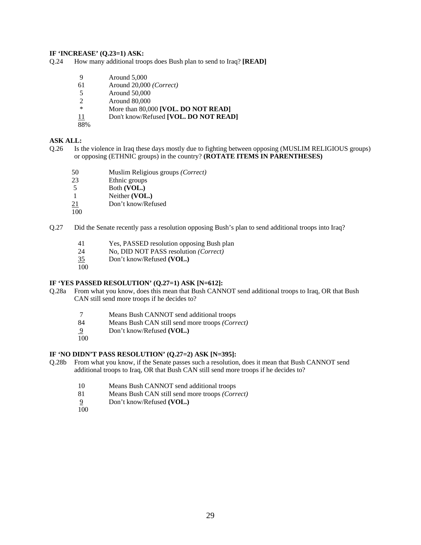#### **IF 'INCREASE' (Q.23=1) ASK:**

Q.24 How many additional troops does Bush plan to send to Iraq? **[READ]** 

- 9 Around 5,000
- 61 Around 20,000 *(Correct)*
- 5 Around 50,000
- 2 Around 80,000
- \* More than 80,000 **[VOL. DO NOT READ]**
- 11 Don't know/Refused **[VOL. DO NOT READ]**
- 88%

#### **ASK ALL:**

- Q.26 Is the violence in Iraq these days mostly due to fighting between opposing (MUSLIM RELIGIOUS groups) or opposing (ETHNIC groups) in the country? **(ROTATE ITEMS IN PARENTHESES)** 
	- 50 Muslim Religious groups *(Correct)*
	- 23 Ethnic groups
	- 5 Both **(VOL.)**
	- 1 Neither **(VOL.)**
	- 21 Don't know/Refused
	- 100
- Q.27 Did the Senate recently pass a resolution opposing Bush's plan to send additional troops into Iraq?
	- 41 Yes, PASSED resolution opposing Bush plan
	- 24 No, DID NOT PASS resolution *(Correct)*
	- 35 Don't know/Refused **(VOL.)**
	- 100

#### **IF 'YES PASSED RESOLUTION' (Q.27=1) ASK [N=612]:**

- Q.28a From what you know, does this mean that Bush CANNOT send additional troops to Iraq, OR that Bush CAN still send more troops if he decides to?
	- 7 Means Bush CANNOT send additional troops
	- 84 Means Bush CAN still send more troops *(Correct)*
	- 9 Don't know/Refused **(VOL.)**
	- 100

# **IF 'NO DIDN'T PASS RESOLUTION' (Q.27=2) ASK [N=395]:**

- Q.28b From what you know, if the Senate passes such a resolution, does it mean that Bush CANNOT send additional troops to Iraq, OR that Bush CAN still send more troops if he decides to?
	- 10 Means Bush CANNOT send additional troops
	- 81 Means Bush CAN still send more troops *(Correct)*
	- 9 Don't know/Refused **(VOL.)**
	- 100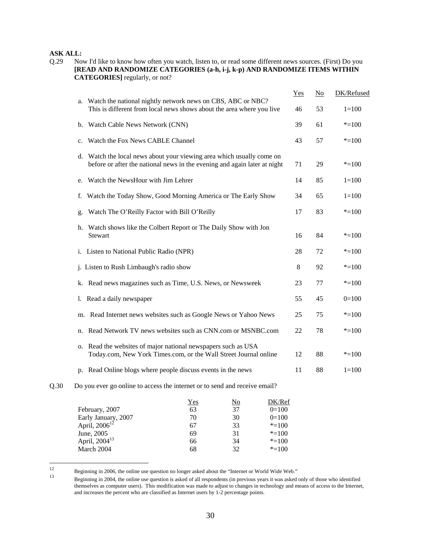# **ASK ALL:**

Q.29 Now I'd like to know how often you watch, listen to, or read some different news sources. (First) Do you **[READ AND RANDOMIZE CATEGORIES (a-h, i-j, k-p) AND RANDOMIZE ITEMS WITHIN CATEGORIES]** regularly, or not?

|      |                                                                                                                                                    | Yes | $\underline{No}$ | DK/Refused |
|------|----------------------------------------------------------------------------------------------------------------------------------------------------|-----|------------------|------------|
|      | Watch the national nightly network news on CBS, ABC or NBC?<br>a.<br>This is different from local news shows about the area where you live         | 46  | 53               | $1 = 100$  |
|      | b. Watch Cable News Network (CNN)                                                                                                                  | 39  | 61               | $* = 100$  |
|      | c. Watch the Fox News CABLE Channel                                                                                                                | 43  | 57               | $* = 100$  |
|      | d. Watch the local news about your viewing area which usually come on<br>before or after the national news in the evening and again later at night | 71  | 29               | $* = 100$  |
|      | Watch the NewsHour with Jim Lehrer<br>e.                                                                                                           | 14  | 85               | $1 = 100$  |
|      | f. Watch the Today Show, Good Morning America or The Early Show                                                                                    | 34  | 65               | $1 = 100$  |
|      | Watch The O'Reilly Factor with Bill O'Reilly<br>g.                                                                                                 | 17  | 83               | $* = 100$  |
|      | h. Watch shows like the Colbert Report or The Daily Show with Jon<br><b>Stewart</b>                                                                | 16  | 84               | $* = 100$  |
|      | i. Listen to National Public Radio (NPR)                                                                                                           | 28  | 72               | $* = 100$  |
|      | j. Listen to Rush Limbaugh's radio show                                                                                                            | 8   | 92               | $* = 100$  |
|      | k. Read news magazines such as Time, U.S. News, or Newsweek                                                                                        | 23  | 77               | $* = 100$  |
|      | 1. Read a daily newspaper                                                                                                                          | 55  | 45               | $0=100$    |
|      | m. Read Internet news websites such as Google News or Yahoo News                                                                                   | 25  | 75               | $* = 100$  |
|      | Read Network TV news websites such as CNN.com or MSNBC.com<br>n.                                                                                   | 22  | 78               | $* = 100$  |
|      | Read the websites of major national newspapers such as USA<br>О.<br>Today.com, New York Times.com, or the Wall Street Journal online               | 12  | 88               | $* = 100$  |
|      | p. Read Online blogs where people discuss events in the news                                                                                       | 11  | 88               | $1 = 100$  |
| Q.30 | Do you ever go online to access the internet or to send and receive email?                                                                         |     |                  |            |
|      |                                                                                                                                                    |     |                  |            |

|                           | <u>Yes</u> | <u>No</u> | DK/Ref    |
|---------------------------|------------|-----------|-----------|
| February, 2007            | 63         | 37        | $0=100$   |
| Early January, 2007       | 70         | 30        | $0=100$   |
| April, $2006^{12}$        | 67         | 33        | $* = 100$ |
| June, 2005                | 69         | 31        | $* = 100$ |
| April, 2004 <sup>13</sup> | 66         | 34        | $* = 100$ |
| March 2004                | 68         | 32        | $* = 100$ |
|                           |            |           |           |

 $12\,$ 

Equining in 2006, the online use question no longer asked about the "Internet or World Wide Web."<br>Beginning in 2004, the online use question is asked of all respondents (in previous years it was asked only of those who id themselves as computer users). This modification was made to adjust to changes in technology and means of access to the Internet, and increases the percent who are classified as Internet users by 1-2 percentage points.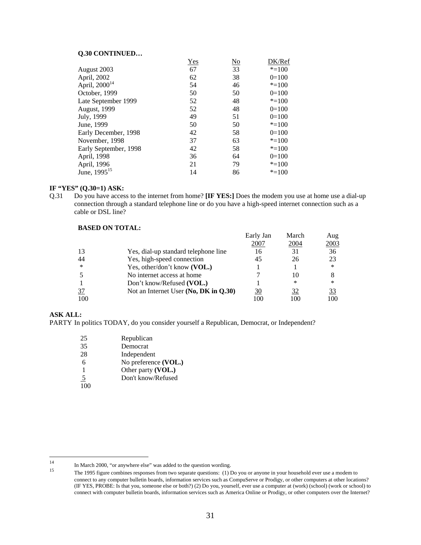## **Q.30 CONTINUED…**

|                           | <u>Yes</u> | <u>No</u> | DK/Ref    |
|---------------------------|------------|-----------|-----------|
| August 2003               | 67         | 33        | $* = 100$ |
| April, 2002               | 62         | 38        | $0=100$   |
| April, 2000 <sup>14</sup> | 54         | 46        | $* = 100$ |
| October, 1999             | 50         | 50        | $0=100$   |
| Late September 1999       | 52         | 48        | $* = 100$ |
| August, 1999              | 52         | 48        | $0=100$   |
| July, 1999                | 49         | 51        | $0=100$   |
| June, 1999                | 50         | 50        | $* = 100$ |
| Early December, 1998      | 42         | 58        | $0=100$   |
| November, 1998            | 37         | 63        | $* = 100$ |
| Early September, 1998     | 42         | 58        | $* = 100$ |
| April, 1998               | 36         | 64        | $0=100$   |
| April, 1996               | 21         | 79        | $* = 100$ |
| June, $1995^{15}$         | 14         | 86        | $* = 100$ |

#### **IF "YES" (Q.30=1) ASK:**

Q.31 Do you have access to the internet from home? **[IF YES:]** Does the modem you use at home use a dial-up connection through a standard telephone line or do you have a high-speed internet connection such as a cable or DSL line?

# **BASED ON TOTAL:**

|                |                                       | Early Jan       | March | Aug    |
|----------------|---------------------------------------|-----------------|-------|--------|
|                |                                       | 2007            | 2004  | 2003   |
| 13             | Yes, dial-up standard telephone line  | 16              | 31    | 36     |
| 44             | Yes, high-speed connection            | 45              | 26    | 23     |
| $\ast$         | Yes, other/don't know (VOL.)          |                 |       | $\ast$ |
|                | No internet access at home            |                 | 10    | 8      |
|                | Don't know/Refused (VOL.)             |                 | ∗     | $\ast$ |
| $\frac{37}{2}$ | Not an Internet User (No, DK in Q.30) | 30              | 32    | 33     |
| 100            |                                       | 00 <sub>1</sub> | 100   | 100    |

#### **ASK ALL:**

PARTY In politics TODAY, do you consider yourself a Republican, Democrat, or Independent?

| 25             | Republican           |
|----------------|----------------------|
| 35             | Democrat             |
| 28             | Independent          |
| 6              | No preference (VOL.) |
| 1              | Other party (VOL.)   |
| $\overline{5}$ | Don't know/Refused   |
|                |                      |

 $14$ 

<sup>&</sup>lt;sup>14</sup> In March 2000, "or anywhere else" was added to the question wording.<br><sup>15</sup> The 1995 figure combines responses from two separate questions: (1) Do you or anyone in your household ever use a modem to connect to any computer bulletin boards, information services such as CompuServe or Prodigy, or other computers at other locations? (IF YES, PROBE: Is that you, someone else or both?) (2) Do you, yourself, ever use a computer at (work) (school) (work or school) to connect with computer bulletin boards, information services such as America Online or Prodigy, or other computers over the Internet?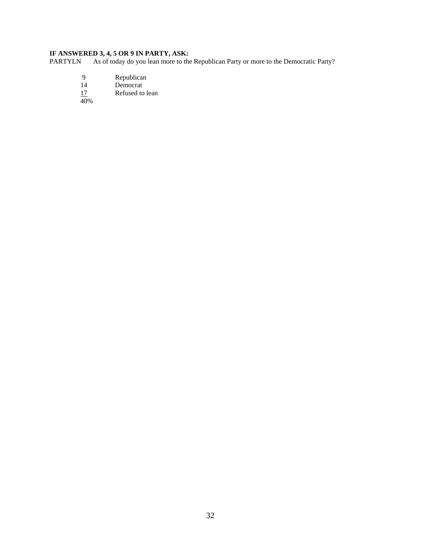# **IF ANSWERED 3, 4, 5 OR 9 IN PARTY, ASK:**<br>PARTYLN As of today do you lean more to the

As of today do you lean more to the Republican Party or more to the Democratic Party?

- 9 Republican
- 14 Democrat
- 17 Refused to lean

40%